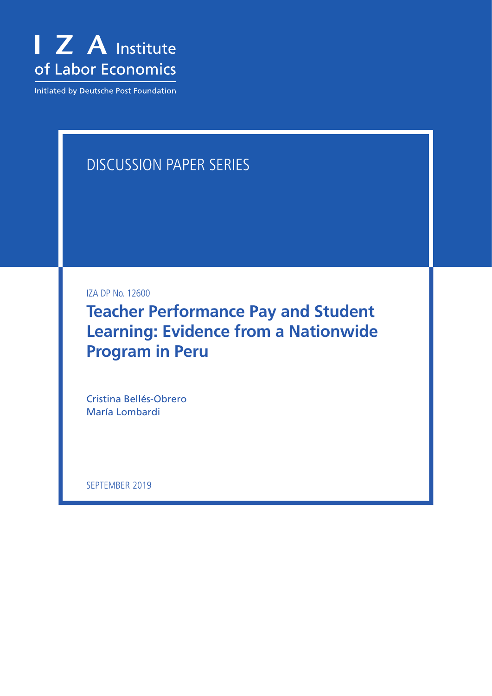

Initiated by Deutsche Post Foundation

# DISCUSSION PAPER SERIES

IZA DP No. 12600

**Teacher Performance Pay and Student Learning: Evidence from a Nationwide Program in Peru**

Cristina Bellés-Obrero María Lombardi

SEPTEMBER 2019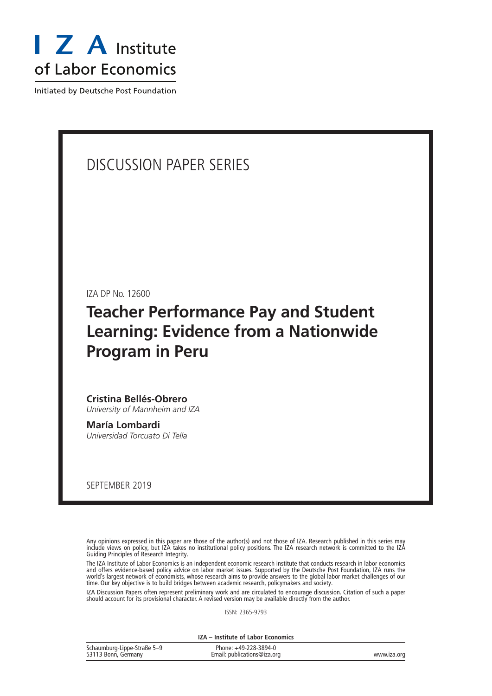

Initiated by Deutsche Post Foundation

# DISCUSSION PAPER SERIES

IZA DP No. 12600

# **Teacher Performance Pay and Student Learning: Evidence from a Nationwide Program in Peru**

### **Cristina Bellés-Obrero**

*University of Mannheim and IZA*

**María Lombardi** *Universidad Torcuato Di Tella*

SEPTEMBER 2019

Any opinions expressed in this paper are those of the author(s) and not those of IZA. Research published in this series may include views on policy, but IZA takes no institutional policy positions. The IZA research network is committed to the IZA Guiding Principles of Research Integrity.

The IZA Institute of Labor Economics is an independent economic research institute that conducts research in labor economics and offers evidence-based policy advice on labor market issues. Supported by the Deutsche Post Foundation, IZA runs the world's largest network of economists, whose research aims to provide answers to the global labor market challenges of our time. Our key objective is to build bridges between academic research, policymakers and society.

IZA Discussion Papers often represent preliminary work and are circulated to encourage discussion. Citation of such a paper should account for its provisional character. A revised version may be available directly from the author.

ISSN: 2365-9793

**IZA – Institute of Labor Economics**

| Schaumburg-Lippe-Straße 5-9 | Phone: +49-228-3894-0       |             |
|-----------------------------|-----------------------------|-------------|
| 53113 Bonn, Germany         | Email: publications@iza.org | www.iza.org |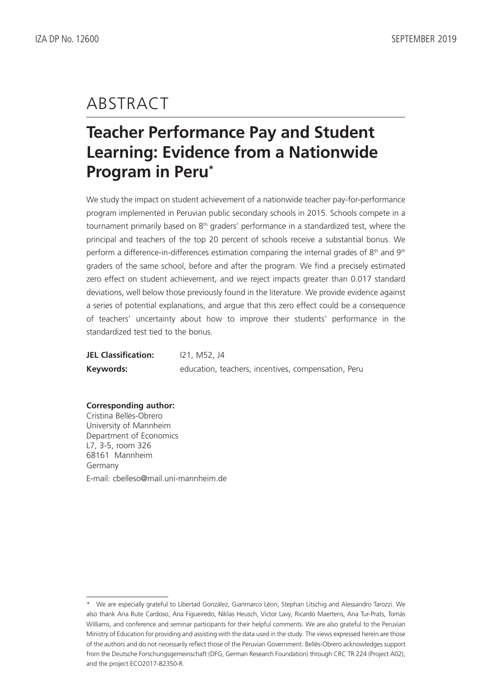# ABSTRACT

# **Teacher Performance Pay and Student Learning: Evidence from a Nationwide Program in Peru\***

We study the impact on student achievement of a nationwide teacher pay-for-performance program implemented in Peruvian public secondary schools in 2015. Schools compete in a tournament primarily based on 8<sup>th</sup> graders' performance in a standardized test, where the principal and teachers of the top 20 percent of schools receive a substantial bonus. We perform a difference-in-differences estimation comparing the internal grades of  $8<sup>th</sup>$  and  $9<sup>th</sup>$ graders of the same school, before and after the program. We find a precisely estimated zero effect on student achievement, and we reject impacts greater than 0.017 standard deviations, well below those previously found in the literature. We provide evidence against a series of potential explanations, and argue that this zero effect could be a consequence of teachers' uncertainty about how to improve their students' performance in the standardized test tied to the bonus.

| <b>JEL Classification:</b> | 121, M52, J4                                        |
|----------------------------|-----------------------------------------------------|
| Keywords:                  | education, teachers, incentives, compensation, Peru |

**Corresponding author:** Cristina Bellés-Obrero University of Mannheim Department of Economics L7, 3-5, room 326 68161 Mannheim Germany E-mail: cbelleso@mail.uni-mannheim.de

<sup>\*</sup> We are especially grateful to Libertad González, Gianmarco Léon, Stephan Litschig and Alessandro Tarozzi. We also thank Ana Rute Cardoso, Ana Figueiredo, Niklas Heusch, Victor Lavy, Ricardo Maertens, Ana Tur-Prats, Tomás Williams, and conference and seminar participants for their helpful comments. We are also grateful to the Peruvian Ministry of Education for providing and assisting with the data used in the study. The views expressed herein are those of the authors and do not necessarily reflect those of the Peruvian Government. Bellés-Obrero acknowledges support from the Deutsche Forschungsgemeinschaft (DFG, German Research Foundation) through CRC TR 224 (Project A02), and the project ECO2017-82350-R.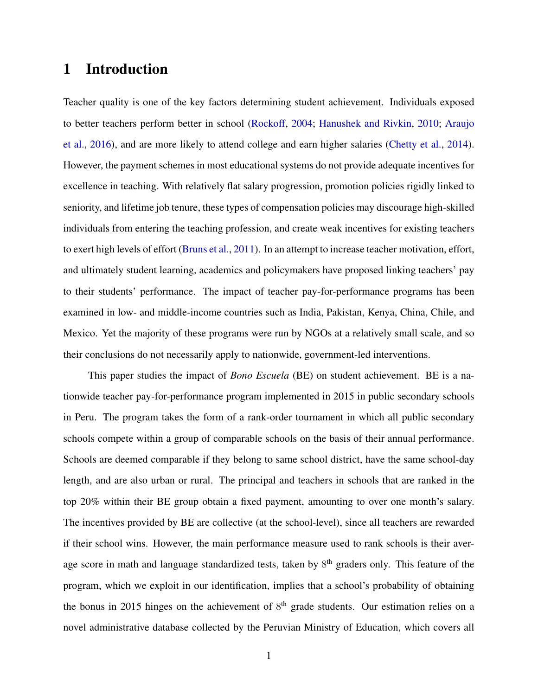## 1 Introduction

Teacher quality is one of the key factors determining student achievement. Individuals exposed to better teachers perform better in school [\(Rockoff,](#page-36-0) [2004;](#page-36-0) [Hanushek and Rivkin,](#page-34-0) [2010;](#page-34-0) [Araujo](#page-31-0) [et al.,](#page-31-0) [2016\)](#page-31-0), and are more likely to attend college and earn higher salaries [\(Chetty et al.,](#page-32-0) [2014\)](#page-32-0). However, the payment schemes in most educational systems do not provide adequate incentives for excellence in teaching. With relatively flat salary progression, promotion policies rigidly linked to seniority, and lifetime job tenure, these types of compensation policies may discourage high-skilled individuals from entering the teaching profession, and create weak incentives for existing teachers to exert high levels of effort [\(Bruns et al.,](#page-32-1) [2011\)](#page-32-1). In an attempt to increase teacher motivation, effort, and ultimately student learning, academics and policymakers have proposed linking teachers' pay to their students' performance. The impact of teacher pay-for-performance programs has been examined in low- and middle-income countries such as India, Pakistan, Kenya, China, Chile, and Mexico. Yet the majority of these programs were run by NGOs at a relatively small scale, and so their conclusions do not necessarily apply to nationwide, government-led interventions.

This paper studies the impact of *Bono Escuela* (BE) on student achievement. BE is a nationwide teacher pay-for-performance program implemented in 2015 in public secondary schools in Peru. The program takes the form of a rank-order tournament in which all public secondary schools compete within a group of comparable schools on the basis of their annual performance. Schools are deemed comparable if they belong to same school district, have the same school-day length, and are also urban or rural. The principal and teachers in schools that are ranked in the top 20% within their BE group obtain a fixed payment, amounting to over one month's salary. The incentives provided by BE are collective (at the school-level), since all teachers are rewarded if their school wins. However, the main performance measure used to rank schools is their average score in math and language standardized tests, taken by 8<sup>th</sup> graders only. This feature of the program, which we exploit in our identification, implies that a school's probability of obtaining the bonus in 2015 hinges on the achievement of  $8<sup>th</sup>$  grade students. Our estimation relies on a novel administrative database collected by the Peruvian Ministry of Education, which covers all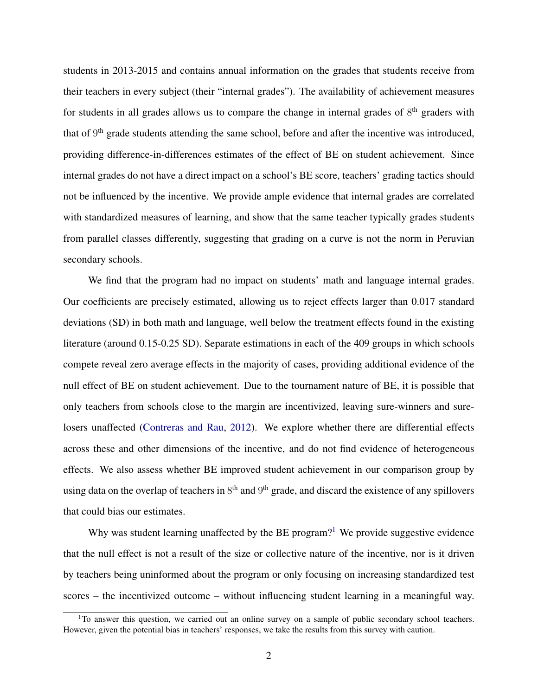students in 2013-2015 and contains annual information on the grades that students receive from their teachers in every subject (their "internal grades"). The availability of achievement measures for students in all grades allows us to compare the change in internal grades of  $8<sup>th</sup>$  graders with that of 9<sup>th</sup> grade students attending the same school, before and after the incentive was introduced, providing difference-in-differences estimates of the effect of BE on student achievement. Since internal grades do not have a direct impact on a school's BE score, teachers' grading tactics should not be influenced by the incentive. We provide ample evidence that internal grades are correlated with standardized measures of learning, and show that the same teacher typically grades students from parallel classes differently, suggesting that grading on a curve is not the norm in Peruvian secondary schools.

We find that the program had no impact on students' math and language internal grades. Our coefficients are precisely estimated, allowing us to reject effects larger than 0.017 standard deviations (SD) in both math and language, well below the treatment effects found in the existing literature (around 0.15-0.25 SD). Separate estimations in each of the 409 groups in which schools compete reveal zero average effects in the majority of cases, providing additional evidence of the null effect of BE on student achievement. Due to the tournament nature of BE, it is possible that only teachers from schools close to the margin are incentivized, leaving sure-winners and surelosers unaffected [\(Contreras and Rau,](#page-33-0) [2012\)](#page-33-0). We explore whether there are differential effects across these and other dimensions of the incentive, and do not find evidence of heterogeneous effects. We also assess whether BE improved student achievement in our comparison group by using data on the overlap of teachers in  $8<sup>th</sup>$  and  $9<sup>th</sup>$  grade, and discard the existence of any spillovers that could bias our estimates.

Why was student learning unaffected by the BE program?<sup>[1](#page-4-0)</sup> We provide suggestive evidence that the null effect is not a result of the size or collective nature of the incentive, nor is it driven by teachers being uninformed about the program or only focusing on increasing standardized test scores – the incentivized outcome – without influencing student learning in a meaningful way.

<span id="page-4-0"></span> $1$ To answer this question, we carried out an online survey on a sample of public secondary school teachers. However, given the potential bias in teachers' responses, we take the results from this survey with caution.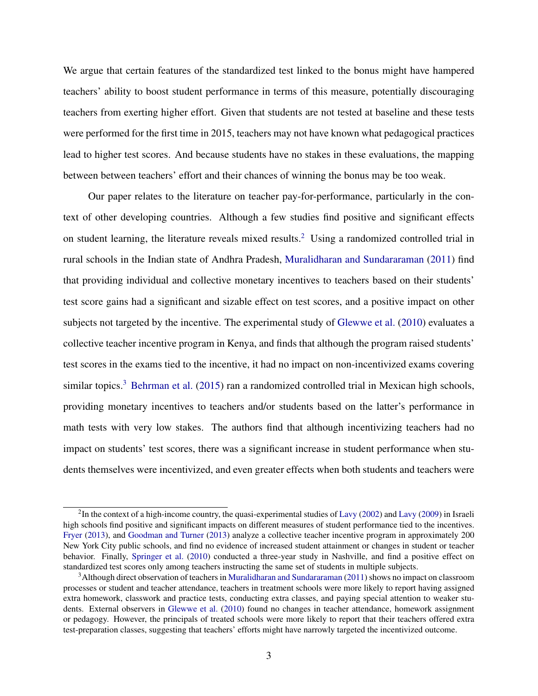We argue that certain features of the standardized test linked to the bonus might have hampered teachers' ability to boost student performance in terms of this measure, potentially discouraging teachers from exerting higher effort. Given that students are not tested at baseline and these tests were performed for the first time in 2015, teachers may not have known what pedagogical practices lead to higher test scores. And because students have no stakes in these evaluations, the mapping between between teachers' effort and their chances of winning the bonus may be too weak.

Our paper relates to the literature on teacher pay-for-performance, particularly in the context of other developing countries. Although a few studies find positive and significant effects on student learning, the literature reveals mixed results.<sup>[2](#page-5-0)</sup> Using a randomized controlled trial in rural schools in the Indian state of Andhra Pradesh, [Muralidharan and Sundararaman](#page-35-0) [\(2011\)](#page-35-0) find that providing individual and collective monetary incentives to teachers based on their students' test score gains had a significant and sizable effect on test scores, and a positive impact on other subjects not targeted by the incentive. The experimental study of [Glewwe et al.](#page-33-1) [\(2010\)](#page-33-1) evaluates a collective teacher incentive program in Kenya, and finds that although the program raised students' test scores in the exams tied to the incentive, it had no impact on non-incentivized exams covering similar topics.<sup>[3](#page-5-1)</sup> [Behrman et al.](#page-31-1) [\(2015\)](#page-31-1) ran a randomized controlled trial in Mexican high schools, providing monetary incentives to teachers and/or students based on the latter's performance in math tests with very low stakes. The authors find that although incentivizing teachers had no impact on students' test scores, there was a significant increase in student performance when students themselves were incentivized, and even greater effects when both students and teachers were

<span id="page-5-0"></span> $2$ In the context of a high-income country, the quasi-experimental studies of [Lavy](#page-35-1) [\(2002\)](#page-34-1) and Lavy [\(2009\)](#page-35-1) in Israeli high schools find positive and significant impacts on different measures of student performance tied to the incentives. [Fryer](#page-33-2) [\(2013\)](#page-33-2), and [Goodman and Turner](#page-33-3) [\(2013\)](#page-33-3) analyze a collective teacher incentive program in approximately 200 New York City public schools, and find no evidence of increased student attainment or changes in student or teacher behavior. Finally, [Springer et al.](#page-36-1) [\(2010\)](#page-36-1) conducted a three-year study in Nashville, and find a positive effect on standardized test scores only among teachers instructing the same set of students in multiple subjects.

<span id="page-5-1"></span><sup>3</sup>Although direct observation of teachers in [Muralidharan and Sundararaman](#page-35-0) [\(2011\)](#page-35-0) shows no impact on classroom processes or student and teacher attendance, teachers in treatment schools were more likely to report having assigned extra homework, classwork and practice tests, conducting extra classes, and paying special attention to weaker students. External observers in [Glewwe et al.](#page-33-1) [\(2010\)](#page-33-1) found no changes in teacher attendance, homework assignment or pedagogy. However, the principals of treated schools were more likely to report that their teachers offered extra test-preparation classes, suggesting that teachers' efforts might have narrowly targeted the incentivized outcome.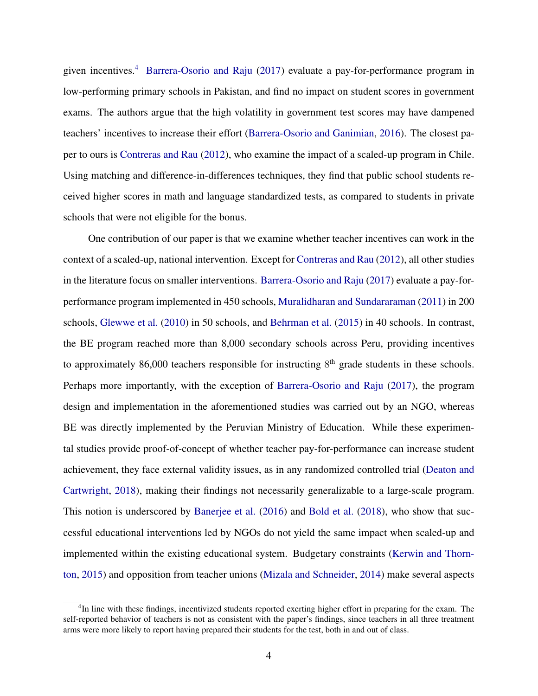given incentives.[4](#page-6-0) [Barrera-Osorio and Raju](#page-31-2) [\(2017\)](#page-31-2) evaluate a pay-for-performance program in low-performing primary schools in Pakistan, and find no impact on student scores in government exams. The authors argue that the high volatility in government test scores may have dampened teachers' incentives to increase their effort [\(Barrera-Osorio and Ganimian,](#page-31-3) [2016\)](#page-31-3). The closest paper to ours is [Contreras and Rau](#page-33-0) [\(2012\)](#page-33-0), who examine the impact of a scaled-up program in Chile. Using matching and difference-in-differences techniques, they find that public school students received higher scores in math and language standardized tests, as compared to students in private schools that were not eligible for the bonus.

One contribution of our paper is that we examine whether teacher incentives can work in the context of a scaled-up, national intervention. Except for [Contreras and Rau](#page-33-0) [\(2012\)](#page-33-0), all other studies in the literature focus on smaller interventions. [Barrera-Osorio and Raju](#page-31-2) [\(2017\)](#page-31-2) evaluate a pay-forperformance program implemented in 450 schools, [Muralidharan and Sundararaman](#page-35-0) [\(2011\)](#page-35-0) in 200 schools, [Glewwe et al.](#page-33-1) [\(2010\)](#page-33-1) in 50 schools, and [Behrman et al.](#page-31-1) [\(2015\)](#page-31-1) in 40 schools. In contrast, the BE program reached more than 8,000 secondary schools across Peru, providing incentives to approximately 86,000 teachers responsible for instructing  $8<sup>th</sup>$  grade students in these schools. Perhaps more importantly, with the exception of [Barrera-Osorio and Raju](#page-31-2) [\(2017\)](#page-31-2), the program design and implementation in the aforementioned studies was carried out by an NGO, whereas BE was directly implemented by the Peruvian Ministry of Education. While these experimental studies provide proof-of-concept of whether teacher pay-for-performance can increase student achievement, they face external validity issues, as in any randomized controlled trial [\(Deaton and](#page-33-4) [Cartwright,](#page-33-4) [2018\)](#page-33-4), making their findings not necessarily generalizable to a large-scale program. This notion is underscored by [Banerjee et al.](#page-31-4) [\(2016\)](#page-31-4) and [Bold et al.](#page-32-2) [\(2018\)](#page-32-2), who show that successful educational interventions led by NGOs do not yield the same impact when scaled-up and implemented within the existing educational system. Budgetary constraints [\(Kerwin and Thorn](#page-34-2)[ton,](#page-34-2) [2015\)](#page-34-2) and opposition from teacher unions [\(Mizala and Schneider,](#page-35-2) [2014\)](#page-35-2) make several aspects

<span id="page-6-0"></span><sup>&</sup>lt;sup>4</sup>In line with these findings, incentivized students reported exerting higher effort in preparing for the exam. The self-reported behavior of teachers is not as consistent with the paper's findings, since teachers in all three treatment arms were more likely to report having prepared their students for the test, both in and out of class.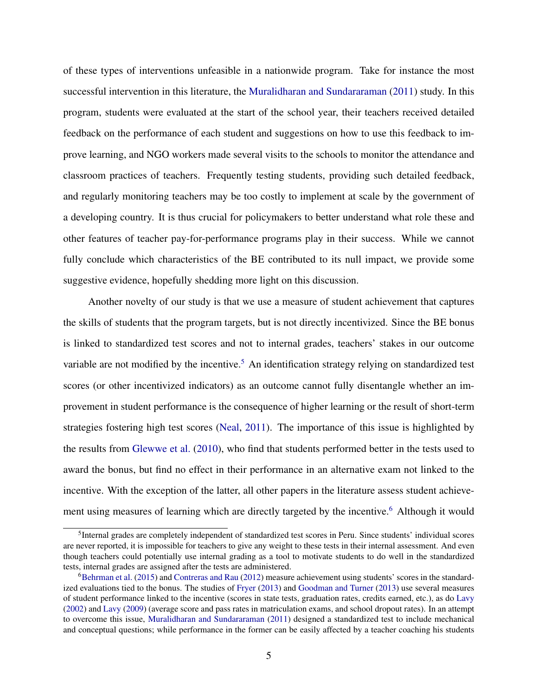of these types of interventions unfeasible in a nationwide program. Take for instance the most successful intervention in this literature, the [Muralidharan and Sundararaman](#page-35-0) [\(2011\)](#page-35-0) study. In this program, students were evaluated at the start of the school year, their teachers received detailed feedback on the performance of each student and suggestions on how to use this feedback to improve learning, and NGO workers made several visits to the schools to monitor the attendance and classroom practices of teachers. Frequently testing students, providing such detailed feedback, and regularly monitoring teachers may be too costly to implement at scale by the government of a developing country. It is thus crucial for policymakers to better understand what role these and other features of teacher pay-for-performance programs play in their success. While we cannot fully conclude which characteristics of the BE contributed to its null impact, we provide some suggestive evidence, hopefully shedding more light on this discussion.

Another novelty of our study is that we use a measure of student achievement that captures the skills of students that the program targets, but is not directly incentivized. Since the BE bonus is linked to standardized test scores and not to internal grades, teachers' stakes in our outcome variable are not modified by the incentive.<sup>[5](#page-7-0)</sup> An identification strategy relying on standardized test scores (or other incentivized indicators) as an outcome cannot fully disentangle whether an improvement in student performance is the consequence of higher learning or the result of short-term strategies fostering high test scores [\(Neal,](#page-35-3) [2011\)](#page-35-3). The importance of this issue is highlighted by the results from [Glewwe et al.](#page-33-1) [\(2010\)](#page-33-1), who find that students performed better in the tests used to award the bonus, but find no effect in their performance in an alternative exam not linked to the incentive. With the exception of the latter, all other papers in the literature assess student achieve-ment using measures of learning which are directly targeted by the incentive.<sup>[6](#page-7-1)</sup> Although it would

<span id="page-7-0"></span><sup>&</sup>lt;sup>5</sup>Internal grades are completely independent of standardized test scores in Peru. Since students' individual scores are never reported, it is impossible for teachers to give any weight to these tests in their internal assessment. And even though teachers could potentially use internal grading as a tool to motivate students to do well in the standardized tests, internal grades are assigned after the tests are administered.

<span id="page-7-1"></span><sup>&</sup>lt;sup>6</sup>[Behrman et al.](#page-31-1) [\(2015\)](#page-31-1) and [Contreras and Rau](#page-33-0) [\(2012\)](#page-33-0) measure achievement using students' scores in the standardized evaluations tied to the bonus. The studies of [Fryer](#page-33-2) [\(2013\)](#page-33-2) and [Goodman and Turner](#page-33-3) [\(2013\)](#page-33-3) use several measures of student performance linked to the incentive (scores in state tests, graduation rates, credits earned, etc.), as do [Lavy](#page-34-1) [\(2002\)](#page-34-1) and [Lavy](#page-35-1) [\(2009\)](#page-35-1) (average score and pass rates in matriculation exams, and school dropout rates). In an attempt to overcome this issue, [Muralidharan and Sundararaman](#page-35-0) [\(2011\)](#page-35-0) designed a standardized test to include mechanical and conceptual questions; while performance in the former can be easily affected by a teacher coaching his students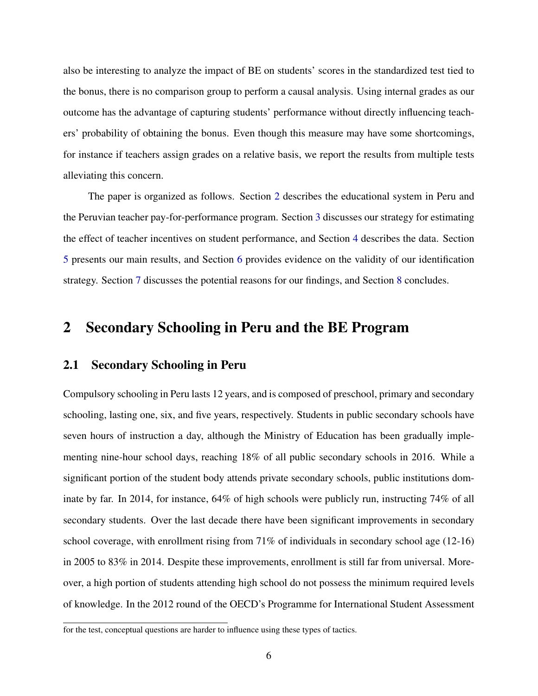also be interesting to analyze the impact of BE on students' scores in the standardized test tied to the bonus, there is no comparison group to perform a causal analysis. Using internal grades as our outcome has the advantage of capturing students' performance without directly influencing teachers' probability of obtaining the bonus. Even though this measure may have some shortcomings, for instance if teachers assign grades on a relative basis, we report the results from multiple tests alleviating this concern.

The paper is organized as follows. Section [2](#page-8-0) describes the educational system in Peru and the Peruvian teacher pay-for-performance program. Section [3](#page-12-0) discusses our strategy for estimating the effect of teacher incentives on student performance, and Section [4](#page-15-0) describes the data. Section [5](#page-17-0) presents our main results, and Section [6](#page-21-0) provides evidence on the validity of our identification strategy. Section [7](#page-25-0) discusses the potential reasons for our findings, and Section [8](#page-30-0) concludes.

## <span id="page-8-0"></span>2 Secondary Schooling in Peru and the BE Program

#### 2.1 Secondary Schooling in Peru

Compulsory schooling in Peru lasts 12 years, and is composed of preschool, primary and secondary schooling, lasting one, six, and five years, respectively. Students in public secondary schools have seven hours of instruction a day, although the Ministry of Education has been gradually implementing nine-hour school days, reaching 18% of all public secondary schools in 2016. While a significant portion of the student body attends private secondary schools, public institutions dominate by far. In 2014, for instance, 64% of high schools were publicly run, instructing 74% of all secondary students. Over the last decade there have been significant improvements in secondary school coverage, with enrollment rising from 71% of individuals in secondary school age (12-16) in 2005 to 83% in 2014. Despite these improvements, enrollment is still far from universal. Moreover, a high portion of students attending high school do not possess the minimum required levels of knowledge. In the 2012 round of the OECD's Programme for International Student Assessment

for the test, conceptual questions are harder to influence using these types of tactics.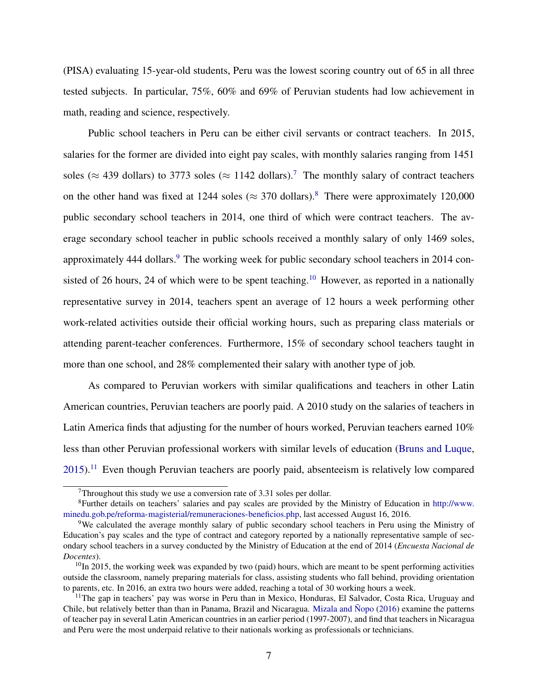(PISA) evaluating 15-year-old students, Peru was the lowest scoring country out of 65 in all three tested subjects. In particular, 75%, 60% and 69% of Peruvian students had low achievement in math, reading and science, respectively.

Public school teachers in Peru can be either civil servants or contract teachers. In 2015, salaries for the former are divided into eight pay scales, with monthly salaries ranging from 1451 soles ( $\approx$  439 dollars) to 3[7](#page-9-0)73 soles ( $\approx$  1142 dollars).<sup>7</sup> The monthly salary of contract teachers on the other hand was fixed at 1244 soles ( $\approx$  370 dollars).<sup>[8](#page-9-1)</sup> There were approximately 120,000 public secondary school teachers in 2014, one third of which were contract teachers. The average secondary school teacher in public schools received a monthly salary of only 1469 soles, approximately 444 dollars.<sup>[9](#page-9-2)</sup> The working week for public secondary school teachers in 2014 con-sisted of 26 hours, 24 of which were to be spent teaching.<sup>[10](#page-9-3)</sup> However, as reported in a nationally representative survey in 2014, teachers spent an average of 12 hours a week performing other work-related activities outside their official working hours, such as preparing class materials or attending parent-teacher conferences. Furthermore, 15% of secondary school teachers taught in more than one school, and 28% complemented their salary with another type of job.

As compared to Peruvian workers with similar qualifications and teachers in other Latin American countries, Peruvian teachers are poorly paid. A 2010 study on the salaries of teachers in Latin America finds that adjusting for the number of hours worked, Peruvian teachers earned 10% less than other Peruvian professional workers with similar levels of education [\(Bruns and Luque,](#page-32-3)  $2015$ <sup>[11](#page-9-4)</sup> Even though Peruvian teachers are poorly paid, absenteeism is relatively low compared

<span id="page-9-1"></span><span id="page-9-0"></span> $7$ Throughout this study we use a conversion rate of 3.31 soles per dollar.

<sup>8</sup>Further details on teachers' salaries and pay scales are provided by the Ministry of Education in [http://www.](http://www.minedu.gob.pe/reforma-magisterial/remuneraciones-beneficios.php) [minedu.gob.pe/reforma-magisterial/remuneraciones-beneficios.php,](http://www.minedu.gob.pe/reforma-magisterial/remuneraciones-beneficios.php) last accessed August 16, 2016.

<span id="page-9-2"></span><sup>9</sup>We calculated the average monthly salary of public secondary school teachers in Peru using the Ministry of Education's pay scales and the type of contract and category reported by a nationally representative sample of secondary school teachers in a survey conducted by the Ministry of Education at the end of 2014 (*Encuesta Nacional de Docentes*).

<span id="page-9-3"></span> $10$ In 2015, the working week was expanded by two (paid) hours, which are meant to be spent performing activities outside the classroom, namely preparing materials for class, assisting students who fall behind, providing orientation to parents, etc. In 2016, an extra two hours were added, reaching a total of 30 working hours a week.

<span id="page-9-4"></span><sup>&</sup>lt;sup>11</sup>The gap in teachers' pay was worse in Peru than in Mexico, Honduras, El Salvador, Costa Rica, Uruguay and Chile, but relatively better than than in Panama, Brazil and Nicaragua. [Mizala and](#page-35-4) Nopo [\(2016\)](#page-35-4) examine the patterns of teacher pay in several Latin American countries in an earlier period (1997-2007), and find that teachers in Nicaragua and Peru were the most underpaid relative to their nationals working as professionals or technicians.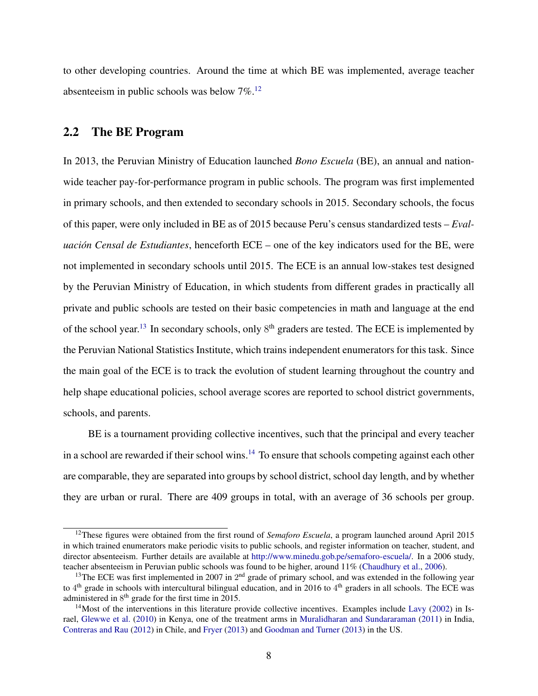to other developing countries. Around the time at which BE was implemented, average teacher absenteeism in public schools was below  $7\%$ .<sup>[12](#page-10-0)</sup>

### <span id="page-10-3"></span>2.2 The BE Program

In 2013, the Peruvian Ministry of Education launched *Bono Escuela* (BE), an annual and nationwide teacher pay-for-performance program in public schools. The program was first implemented in primary schools, and then extended to secondary schools in 2015. Secondary schools, the focus of this paper, were only included in BE as of 2015 because Peru's census standardized tests – *Evaluación Censal de Estudiantes*, henceforth ECE – one of the key indicators used for the BE, were not implemented in secondary schools until 2015. The ECE is an annual low-stakes test designed by the Peruvian Ministry of Education, in which students from different grades in practically all private and public schools are tested on their basic competencies in math and language at the end of the school year.<sup>[13](#page-10-1)</sup> In secondary schools, only  $8<sup>th</sup>$  graders are tested. The ECE is implemented by the Peruvian National Statistics Institute, which trains independent enumerators for this task. Since the main goal of the ECE is to track the evolution of student learning throughout the country and help shape educational policies, school average scores are reported to school district governments, schools, and parents.

BE is a tournament providing collective incentives, such that the principal and every teacher in a school are rewarded if their school wins.<sup>[14](#page-10-2)</sup> To ensure that schools competing against each other are comparable, they are separated into groups by school district, school day length, and by whether they are urban or rural. There are 409 groups in total, with an average of 36 schools per group.

<span id="page-10-0"></span><sup>&</sup>lt;sup>12</sup>These figures were obtained from the first round of *Semaforo Escuela*, a program launched around April 2015 in which trained enumerators make periodic visits to public schools, and register information on teacher, student, and director absenteeism. Further details are available at [http://www.minedu.gob.pe/semaforo-escuela/.](http://www.minedu.gob.pe/semaforo-escuela/) In a 2006 study, teacher absenteeism in Peruvian public schools was found to be higher, around 11% [\(Chaudhury et al.,](#page-32-4) [2006\)](#page-32-4).

<span id="page-10-1"></span><sup>&</sup>lt;sup>13</sup>The ECE was first implemented in 2007 in  $2<sup>nd</sup>$  grade of primary school, and was extended in the following year to  $4<sup>th</sup>$  grade in schools with intercultural bilingual education, and in 2016 to  $4<sup>th</sup>$  graders in all schools. The ECE was administered in 8<sup>th</sup> grade for the first time in 2015.

<span id="page-10-2"></span> $14$ Most of the interventions in this literature provide collective incentives. Examples include [Lavy](#page-34-1) [\(2002\)](#page-34-1) in Israel, [Glewwe et al.](#page-33-1) [\(2010\)](#page-33-1) in Kenya, one of the treatment arms in [Muralidharan and Sundararaman](#page-35-0) [\(2011\)](#page-35-0) in India, [Contreras and Rau](#page-33-0) [\(2012\)](#page-33-0) in Chile, and [Fryer](#page-33-2) [\(2013\)](#page-33-2) and [Goodman and Turner](#page-33-3) [\(2013\)](#page-33-3) in the US.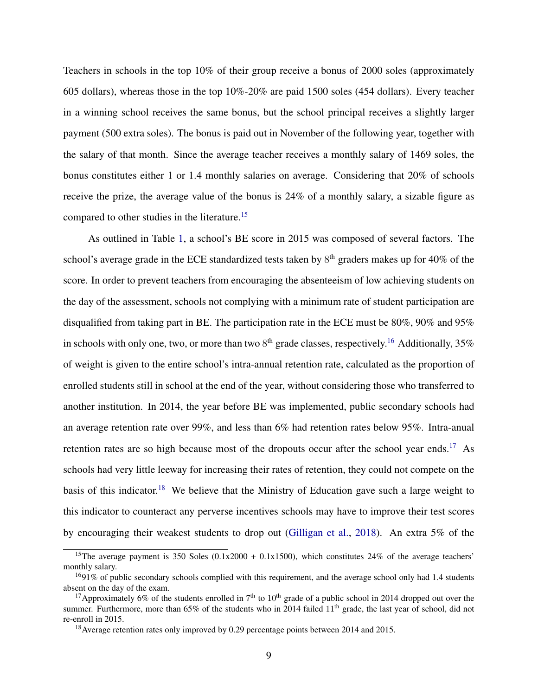Teachers in schools in the top 10% of their group receive a bonus of 2000 soles (approximately 605 dollars), whereas those in the top 10%-20% are paid 1500 soles (454 dollars). Every teacher in a winning school receives the same bonus, but the school principal receives a slightly larger payment (500 extra soles). The bonus is paid out in November of the following year, together with the salary of that month. Since the average teacher receives a monthly salary of 1469 soles, the bonus constitutes either 1 or 1.4 monthly salaries on average. Considering that 20% of schools receive the prize, the average value of the bonus is 24% of a monthly salary, a sizable figure as compared to other studies in the literature.[15](#page-11-0)

As outlined in Table [1,](#page-41-0) a school's BE score in 2015 was composed of several factors. The school's average grade in the ECE standardized tests taken by  $8<sup>th</sup>$  graders makes up for 40% of the score. In order to prevent teachers from encouraging the absenteeism of low achieving students on the day of the assessment, schools not complying with a minimum rate of student participation are disqualified from taking part in BE. The participation rate in the ECE must be 80%, 90% and 95% in schools with only one, two, or more than two  $8<sup>th</sup>$  grade classes, respectively.<sup>[16](#page-11-1)</sup> Additionally, 35% of weight is given to the entire school's intra-annual retention rate, calculated as the proportion of enrolled students still in school at the end of the year, without considering those who transferred to another institution. In 2014, the year before BE was implemented, public secondary schools had an average retention rate over 99%, and less than 6% had retention rates below 95%. Intra-anual retention rates are so high because most of the dropouts occur after the school year ends.<sup>[17](#page-11-2)</sup> As schools had very little leeway for increasing their rates of retention, they could not compete on the basis of this indicator.<sup>[18](#page-11-3)</sup> We believe that the Ministry of Education gave such a large weight to this indicator to counteract any perverse incentives schools may have to improve their test scores by encouraging their weakest students to drop out [\(Gilligan et al.,](#page-33-5) [2018\)](#page-33-5). An extra 5% of the

<span id="page-11-0"></span><sup>&</sup>lt;sup>15</sup>The average payment is 350 Soles  $(0.1x2000 + 0.1x1500)$ , which constitutes 24% of the average teachers' monthly salary.

<span id="page-11-1"></span><sup>&</sup>lt;sup>16</sup>91% of public secondary schools complied with this requirement, and the average school only had 1.4 students absent on the day of the exam.

<span id="page-11-2"></span><sup>&</sup>lt;sup>17</sup> Approximately 6% of the students enrolled in  $7<sup>th</sup>$  to  $10<sup>th</sup>$  grade of a public school in 2014 dropped out over the summer. Furthermore, more than 65% of the students who in 2014 failed 11<sup>th</sup> grade, the last year of school, did not re-enroll in 2015.

<span id="page-11-3"></span><sup>&</sup>lt;sup>18</sup> Average retention rates only improved by 0.29 percentage points between 2014 and 2015.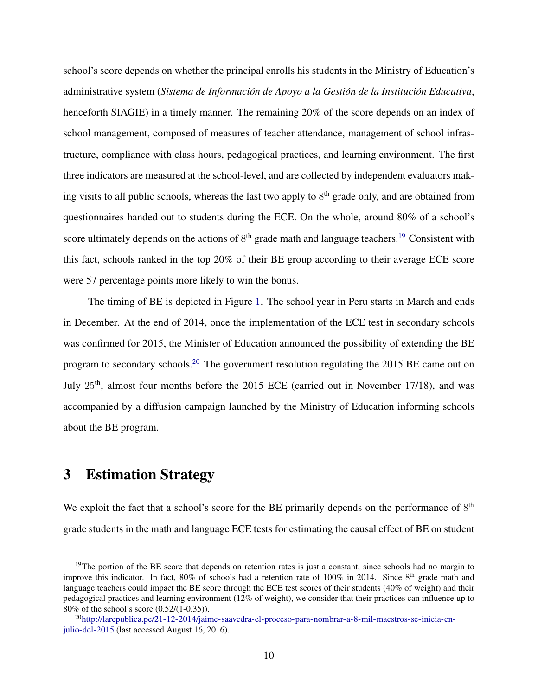school's score depends on whether the principal enrolls his students in the Ministry of Education's administrative system (*Sistema de Informacion de Apoyo a la Gesti ´ on de la Instituci ´ on Educativa ´* , henceforth SIAGIE) in a timely manner. The remaining 20% of the score depends on an index of school management, composed of measures of teacher attendance, management of school infrastructure, compliance with class hours, pedagogical practices, and learning environment. The first three indicators are measured at the school-level, and are collected by independent evaluators making visits to all public schools, whereas the last two apply to 8<sup>th</sup> grade only, and are obtained from questionnaires handed out to students during the ECE. On the whole, around 80% of a school's score ultimately depends on the actions of  $8<sup>th</sup>$  grade math and language teachers.<sup>[19](#page-12-1)</sup> Consistent with this fact, schools ranked in the top 20% of their BE group according to their average ECE score were 57 percentage points more likely to win the bonus.

The timing of BE is depicted in Figure [1.](#page-37-0) The school year in Peru starts in March and ends in December. At the end of 2014, once the implementation of the ECE test in secondary schools was confirmed for 2015, the Minister of Education announced the possibility of extending the BE program to secondary schools.[20](#page-12-2) The government resolution regulating the 2015 BE came out on July 25<sup>th</sup>, almost four months before the 2015 ECE (carried out in November 17/18), and was accompanied by a diffusion campaign launched by the Ministry of Education informing schools about the BE program.

## <span id="page-12-0"></span>3 Estimation Strategy

We exploit the fact that a school's score for the BE primarily depends on the performance of  $8<sup>th</sup>$ grade students in the math and language ECE tests for estimating the causal effect of BE on student

<span id="page-12-1"></span> $19$ The portion of the BE score that depends on retention rates is just a constant, since schools had no margin to improve this indicator. In fact, 80% of schools had a retention rate of 100% in 2014. Since 8<sup>th</sup> grade math and language teachers could impact the BE score through the ECE test scores of their students (40% of weight) and their pedagogical practices and learning environment (12% of weight), we consider that their practices can influence up to 80% of the school's score (0.52/(1-0.35)).

<span id="page-12-2"></span><sup>20</sup>[http://larepublica.pe/21-12-2014/jaime-saavedra-el-proceso-para-nombrar-a-8-mil-maestros-se-inicia-en](http://larepublica.pe/21-12-2014/jaime-saavedra-el-proceso-para-nombrar-a-8-mil-maestros-se-inicia-en-julio-del-2015)[julio-del-2015](http://larepublica.pe/21-12-2014/jaime-saavedra-el-proceso-para-nombrar-a-8-mil-maestros-se-inicia-en-julio-del-2015) (last accessed August 16, 2016).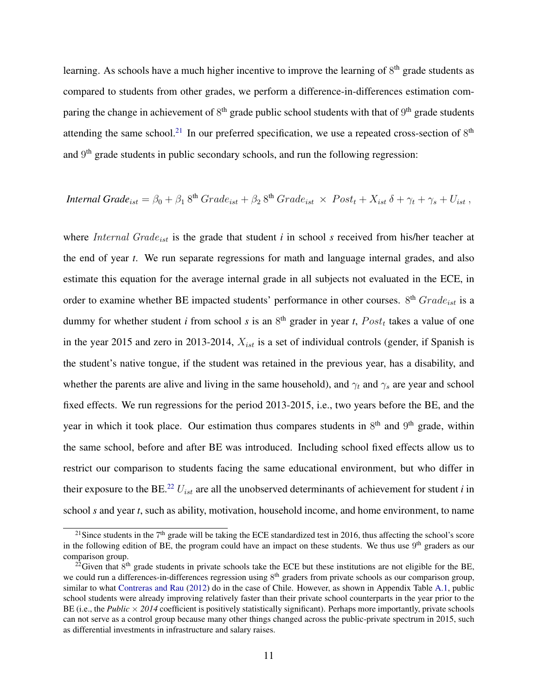learning. As schools have a much higher incentive to improve the learning of  $8<sup>th</sup>$  grade students as compared to students from other grades, we perform a difference-in-differences estimation comparing the change in achievement of  $8<sup>th</sup>$  grade public school students with that of  $9<sup>th</sup>$  grade students attending the same school.<sup>[21](#page-13-0)</sup> In our preferred specification, we use a repeated cross-section of  $8<sup>th</sup>$ and 9<sup>th</sup> grade students in public secondary schools, and run the following regression:

*Internal Grade*<sub>ist</sub> = 
$$
\beta_0 + \beta_1 8^{th}
$$
 *Grade*<sub>ist</sub> +  $\beta_2 8^{th}$  *Grade*<sub>ist</sub> × *Post*<sub>t</sub> +  $X_{ist}$   $\delta + \gamma_t + \gamma_s + U_{ist}$ ,

where *Internal Grade<sub>ist</sub>* is the grade that student *i* in school *s* received from his/her teacher at the end of year *t*. We run separate regressions for math and language internal grades, and also estimate this equation for the average internal grade in all subjects not evaluated in the ECE, in order to examine whether BE impacted students' performance in other courses.  $8<sup>th</sup> Grade<sub>ist</sub>$  is a dummy for whether student *i* from school *s* is an  $8<sup>th</sup>$  grader in year *t*,  $Post<sub>t</sub>$  takes a value of one in the year 2015 and zero in 2013-2014,  $X_{ist}$  is a set of individual controls (gender, if Spanish is the student's native tongue, if the student was retained in the previous year, has a disability, and whether the parents are alive and living in the same household), and  $\gamma_t$  and  $\gamma_s$  are year and school fixed effects. We run regressions for the period 2013-2015, i.e., two years before the BE, and the year in which it took place. Our estimation thus compares students in  $8<sup>th</sup>$  and  $9<sup>th</sup>$  grade, within the same school, before and after BE was introduced. Including school fixed effects allow us to restrict our comparison to students facing the same educational environment, but who differ in their exposure to the BE.<sup>[22](#page-13-1)</sup>  $U_{ist}$  are all the unobserved determinants of achievement for student *i* in school *s* and year *t*, such as ability, motivation, household income, and home environment, to name

<span id="page-13-0"></span><sup>&</sup>lt;sup>21</sup> Since students in the  $7<sup>th</sup>$  grade will be taking the ECE standardized test in 2016, thus affecting the school's score in the following edition of BE, the program could have an impact on these students. We thus use  $9<sup>th</sup>$  graders as our comparison group.

<span id="page-13-1"></span><sup>&</sup>lt;sup>22</sup>Given that  $8<sup>th</sup>$  grade students in private schools take the ECE but these institutions are not eligible for the BE, we could run a differences-in-differences regression using 8<sup>th</sup> graders from private schools as our comparison group, similar to what [Contreras and Rau](#page-33-0) [\(2012\)](#page-33-0) do in the case of Chile. However, as shown in Appendix Table [A.1,](#page-50-0) public school students were already improving relatively faster than their private school counterparts in the year prior to the BE (i.e., the *Public*  $\times$  2014 coefficient is positively statistically significant). Perhaps more importantly, private schools can not serve as a control group because many other things changed across the public-private spectrum in 2015, such as differential investments in infrastructure and salary raises.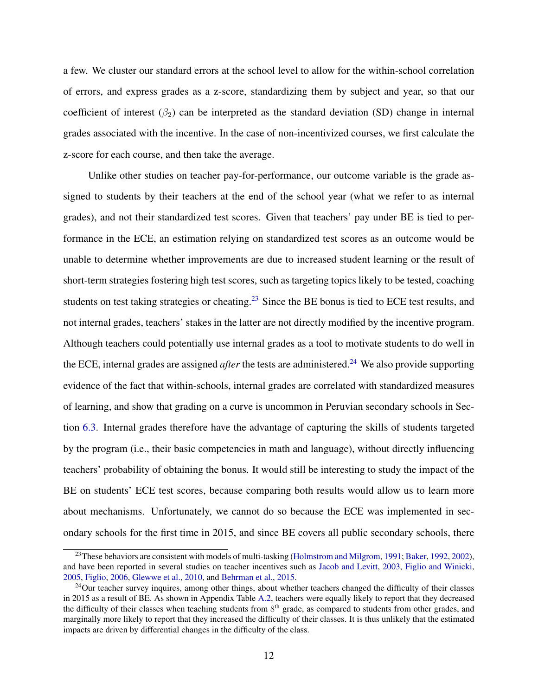a few. We cluster our standard errors at the school level to allow for the within-school correlation of errors, and express grades as a z-score, standardizing them by subject and year, so that our coefficient of interest  $(\beta_2)$  can be interpreted as the standard deviation (SD) change in internal grades associated with the incentive. In the case of non-incentivized courses, we first calculate the z-score for each course, and then take the average.

Unlike other studies on teacher pay-for-performance, our outcome variable is the grade assigned to students by their teachers at the end of the school year (what we refer to as internal grades), and not their standardized test scores. Given that teachers' pay under BE is tied to performance in the ECE, an estimation relying on standardized test scores as an outcome would be unable to determine whether improvements are due to increased student learning or the result of short-term strategies fostering high test scores, such as targeting topics likely to be tested, coaching students on test taking strategies or cheating.<sup>[23](#page-14-0)</sup> Since the BE bonus is tied to ECE test results, and not internal grades, teachers' stakes in the latter are not directly modified by the incentive program. Although teachers could potentially use internal grades as a tool to motivate students to do well in the ECE, internal grades are assigned *after* the tests are administered.<sup>[24](#page-14-1)</sup> We also provide supporting evidence of the fact that within-schools, internal grades are correlated with standardized measures of learning, and show that grading on a curve is uncommon in Peruvian secondary schools in Section [6.3.](#page-23-0) Internal grades therefore have the advantage of capturing the skills of students targeted by the program (i.e., their basic competencies in math and language), without directly influencing teachers' probability of obtaining the bonus. It would still be interesting to study the impact of the BE on students' ECE test scores, because comparing both results would allow us to learn more about mechanisms. Unfortunately, we cannot do so because the ECE was implemented in secondary schools for the first time in 2015, and since BE covers all public secondary schools, there

<span id="page-14-0"></span><sup>&</sup>lt;sup>23</sup>These behaviors are consistent with models of multi-tasking [\(Holmstrom and Milgrom,](#page-34-3) [1991;](#page-34-3) [Baker,](#page-31-5) [1992,](#page-31-5) [2002\)](#page-31-6), and have been reported in several studies on teacher incentives such as [Jacob and Levitt,](#page-34-4) [2003,](#page-34-4) [Figlio and Winicki,](#page-33-6) [2005,](#page-33-6) [Figlio,](#page-33-7) [2006,](#page-33-7) [Glewwe et al.,](#page-33-1) [2010,](#page-33-1) and [Behrman et al.,](#page-31-1) [2015.](#page-31-1)

<span id="page-14-1"></span><sup>&</sup>lt;sup>24</sup>Our teacher survey inquires, among other things, about whether teachers changed the difficulty of their classes in 2015 as a result of BE. As shown in Appendix Table [A.2,](#page-51-0) teachers were equally likely to report that they decreased the difficulty of their classes when teaching students from 8<sup>th</sup> grade, as compared to students from other grades, and marginally more likely to report that they increased the difficulty of their classes. It is thus unlikely that the estimated impacts are driven by differential changes in the difficulty of the class.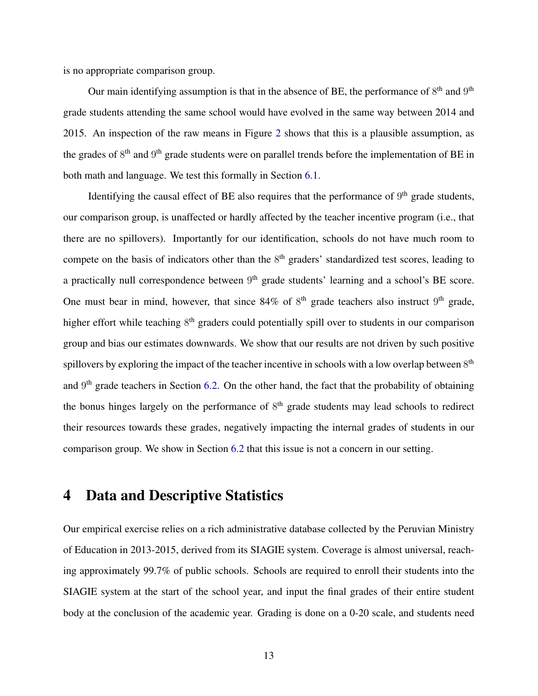is no appropriate comparison group.

Our main identifying assumption is that in the absence of BE, the performance of  $8<sup>th</sup>$  and  $9<sup>th</sup>$ grade students attending the same school would have evolved in the same way between 2014 and 2015. An inspection of the raw means in Figure [2](#page-38-0) shows that this is a plausible assumption, as the grades of  $8<sup>th</sup>$  and  $9<sup>th</sup>$  grade students were on parallel trends before the implementation of BE in both math and language. We test this formally in Section [6.1.](#page-21-1)

Identifying the causal effect of BE also requires that the performance of  $9<sup>th</sup>$  grade students, our comparison group, is unaffected or hardly affected by the teacher incentive program (i.e., that there are no spillovers). Importantly for our identification, schools do not have much room to compete on the basis of indicators other than the  $8<sup>th</sup>$  graders' standardized test scores, leading to a practically null correspondence between  $9<sup>th</sup>$  grade students' learning and a school's BE score. One must bear in mind, however, that since  $84\%$  of  $8<sup>th</sup>$  grade teachers also instruct  $9<sup>th</sup>$  grade, higher effort while teaching 8<sup>th</sup> graders could potentially spill over to students in our comparison group and bias our estimates downwards. We show that our results are not driven by such positive spillovers by exploring the impact of the teacher incentive in schools with a low overlap between  $8<sup>th</sup>$ and 9<sup>th</sup> grade teachers in Section [6.2.](#page-21-2) On the other hand, the fact that the probability of obtaining the bonus hinges largely on the performance of  $8<sup>th</sup>$  grade students may lead schools to redirect their resources towards these grades, negatively impacting the internal grades of students in our comparison group. We show in Section [6.2](#page-21-2) that this issue is not a concern in our setting.

## <span id="page-15-0"></span>4 Data and Descriptive Statistics

Our empirical exercise relies on a rich administrative database collected by the Peruvian Ministry of Education in 2013-2015, derived from its SIAGIE system. Coverage is almost universal, reaching approximately 99.7% of public schools. Schools are required to enroll their students into the SIAGIE system at the start of the school year, and input the final grades of their entire student body at the conclusion of the academic year. Grading is done on a 0-20 scale, and students need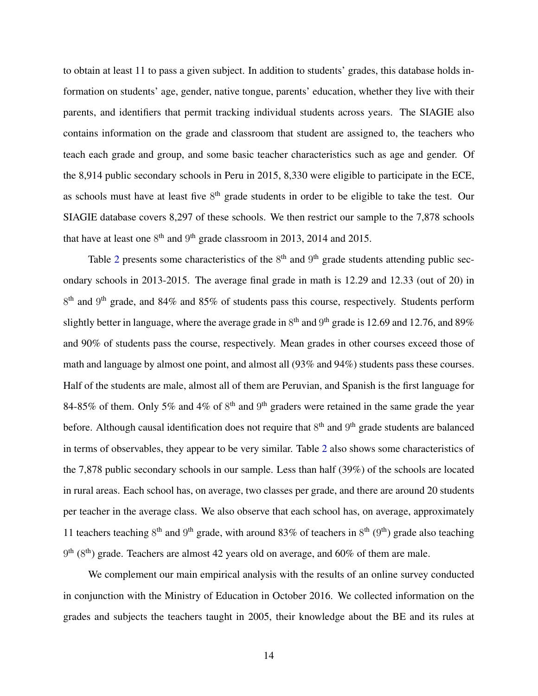to obtain at least 11 to pass a given subject. In addition to students' grades, this database holds information on students' age, gender, native tongue, parents' education, whether they live with their parents, and identifiers that permit tracking individual students across years. The SIAGIE also contains information on the grade and classroom that student are assigned to, the teachers who teach each grade and group, and some basic teacher characteristics such as age and gender. Of the 8,914 public secondary schools in Peru in 2015, 8,330 were eligible to participate in the ECE, as schools must have at least five  $8<sup>th</sup>$  grade students in order to be eligible to take the test. Our SIAGIE database covers 8,297 of these schools. We then restrict our sample to the 7,878 schools that have at least one  $8<sup>th</sup>$  and  $9<sup>th</sup>$  grade classroom in 2013, 2014 and 2015.

Table [2](#page-42-0) presents some characteristics of the  $8<sup>th</sup>$  and  $9<sup>th</sup>$  grade students attending public secondary schools in 2013-2015. The average final grade in math is 12.29 and 12.33 (out of 20) in 8<sup>th</sup> and 9<sup>th</sup> grade, and 84% and 85% of students pass this course, respectively. Students perform slightly better in language, where the average grade in  $8<sup>th</sup>$  and  $9<sup>th</sup>$  grade is 12.69 and 12.76, and 89% and 90% of students pass the course, respectively. Mean grades in other courses exceed those of math and language by almost one point, and almost all (93% and 94%) students pass these courses. Half of the students are male, almost all of them are Peruvian, and Spanish is the first language for 84-85% of them. Only 5% and 4% of  $8<sup>th</sup>$  and  $9<sup>th</sup>$  graders were retained in the same grade the year before. Although causal identification does not require that  $8<sup>th</sup>$  and  $9<sup>th</sup>$  grade students are balanced in terms of observables, they appear to be very similar. Table [2](#page-42-0) also shows some characteristics of the 7,878 public secondary schools in our sample. Less than half (39%) of the schools are located in rural areas. Each school has, on average, two classes per grade, and there are around 20 students per teacher in the average class. We also observe that each school has, on average, approximately 11 teachers teaching  $8<sup>th</sup>$  and  $9<sup>th</sup>$  grade, with around 83% of teachers in  $8<sup>th</sup>$  ( $9<sup>th</sup>$ ) grade also teaching  $9<sup>th</sup>$  ( $8<sup>th</sup>$ ) grade. Teachers are almost 42 years old on average, and 60% of them are male.

We complement our main empirical analysis with the results of an online survey conducted in conjunction with the Ministry of Education in October 2016. We collected information on the grades and subjects the teachers taught in 2005, their knowledge about the BE and its rules at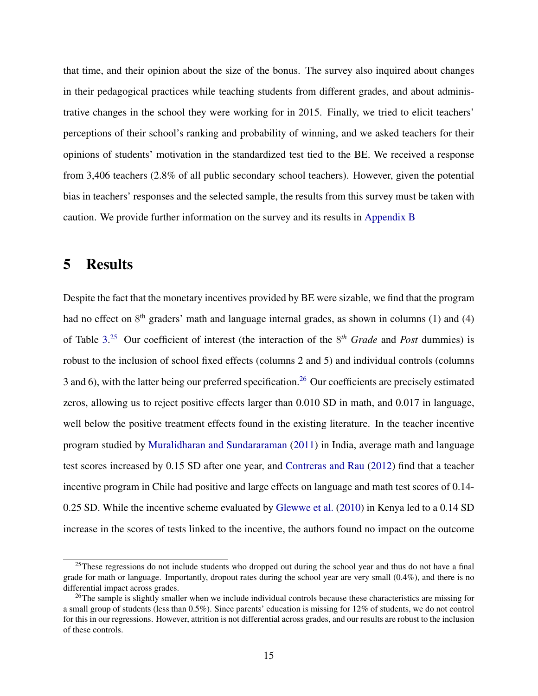that time, and their opinion about the size of the bonus. The survey also inquired about changes in their pedagogical practices while teaching students from different grades, and about administrative changes in the school they were working for in 2015. Finally, we tried to elicit teachers' perceptions of their school's ranking and probability of winning, and we asked teachers for their opinions of students' motivation in the standardized test tied to the BE. We received a response from 3,406 teachers (2.8% of all public secondary school teachers). However, given the potential bias in teachers' responses and the selected sample, the results from this survey must be taken with caution. We provide further information on the survey and its results in [Appendix B](#page-56-0)

## <span id="page-17-0"></span>5 Results

Despite the fact that the monetary incentives provided by BE were sizable, we find that the program had no effect on  $8<sup>th</sup>$  graders' math and language internal grades, as shown in columns (1) and (4) of Table [3.](#page-43-0) [25](#page-17-1) Our coefficient of interest (the interaction of the 8 *th Grade* and *Post* dummies) is robust to the inclusion of school fixed effects (columns 2 and 5) and individual controls (columns 3 and 6), with the latter being our preferred specification.<sup>[26](#page-17-2)</sup> Our coefficients are precisely estimated zeros, allowing us to reject positive effects larger than 0.010 SD in math, and 0.017 in language, well below the positive treatment effects found in the existing literature. In the teacher incentive program studied by [Muralidharan and Sundararaman](#page-35-0) [\(2011\)](#page-35-0) in India, average math and language test scores increased by 0.15 SD after one year, and [Contreras and Rau](#page-33-0) [\(2012\)](#page-33-0) find that a teacher incentive program in Chile had positive and large effects on language and math test scores of 0.14- 0.25 SD. While the incentive scheme evaluated by [Glewwe et al.](#page-33-1) [\(2010\)](#page-33-1) in Kenya led to a 0.14 SD increase in the scores of tests linked to the incentive, the authors found no impact on the outcome

<span id="page-17-1"></span><sup>&</sup>lt;sup>25</sup>These regressions do not include students who dropped out during the school year and thus do not have a final grade for math or language. Importantly, dropout rates during the school year are very small (0.4%), and there is no differential impact across grades.

<span id="page-17-2"></span><sup>&</sup>lt;sup>26</sup>The sample is slightly smaller when we include individual controls because these characteristics are missing for a small group of students (less than 0.5%). Since parents' education is missing for 12% of students, we do not control for this in our regressions. However, attrition is not differential across grades, and our results are robust to the inclusion of these controls.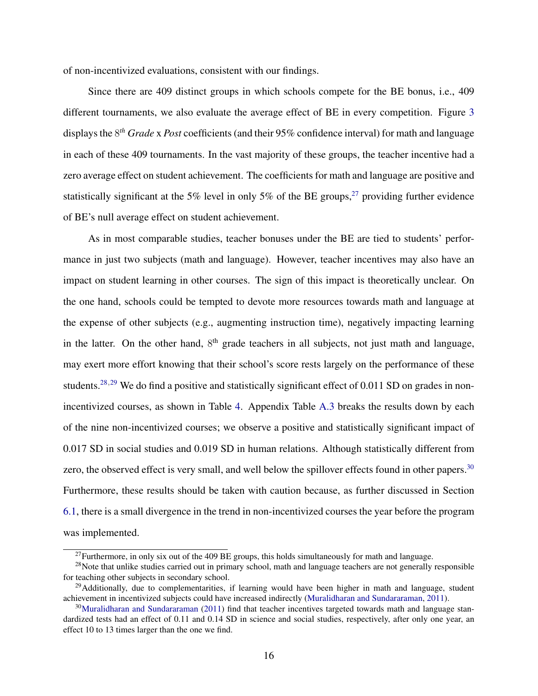of non-incentivized evaluations, consistent with our findings.

Since there are 409 distinct groups in which schools compete for the BE bonus, i.e., 409 different tournaments, we also evaluate the average effect of BE in every competition. Figure [3](#page-39-0) displays the 8 *th Grade* x *Post* coefficients (and their 95% confidence interval) for math and language in each of these 409 tournaments. In the vast majority of these groups, the teacher incentive had a zero average effect on student achievement. The coefficients for math and language are positive and statistically significant at the 5% level in only 5% of the BE groups,  $27$  providing further evidence of BE's null average effect on student achievement.

As in most comparable studies, teacher bonuses under the BE are tied to students' performance in just two subjects (math and language). However, teacher incentives may also have an impact on student learning in other courses. The sign of this impact is theoretically unclear. On the one hand, schools could be tempted to devote more resources towards math and language at the expense of other subjects (e.g., augmenting instruction time), negatively impacting learning in the latter. On the other hand,  $8<sup>th</sup>$  grade teachers in all subjects, not just math and language, may exert more effort knowing that their school's score rests largely on the performance of these students.<sup>[28](#page-18-1),[29](#page-18-2)</sup> We do find a positive and statistically significant effect of 0.011 SD on grades in nonincentivized courses, as shown in Table [4.](#page-44-0) Appendix Table [A.3](#page-52-0) breaks the results down by each of the nine non-incentivized courses; we observe a positive and statistically significant impact of 0.017 SD in social studies and 0.019 SD in human relations. Although statistically different from zero, the observed effect is very small, and well below the spillover effects found in other papers.<sup>[30](#page-18-3)</sup> Furthermore, these results should be taken with caution because, as further discussed in Section [6.1,](#page-21-1) there is a small divergence in the trend in non-incentivized courses the year before the program was implemented.

<span id="page-18-1"></span><span id="page-18-0"></span> $27$ Furthermore, in only six out of the 409 BE groups, this holds simultaneously for math and language.

 $^{28}$ Note that unlike studies carried out in primary school, math and language teachers are not generally responsible for teaching other subjects in secondary school.

<span id="page-18-2"></span> $29$ Additionally, due to complementarities, if learning would have been higher in math and language, student achievement in incentivized subjects could have increased indirectly [\(Muralidharan and Sundararaman,](#page-35-0) [2011\)](#page-35-0).

<span id="page-18-3"></span><sup>&</sup>lt;sup>30</sup>[Muralidharan and Sundararaman](#page-35-0) [\(2011\)](#page-35-0) find that teacher incentives targeted towards math and language standardized tests had an effect of 0.11 and 0.14 SD in science and social studies, respectively, after only one year, an effect 10 to 13 times larger than the one we find.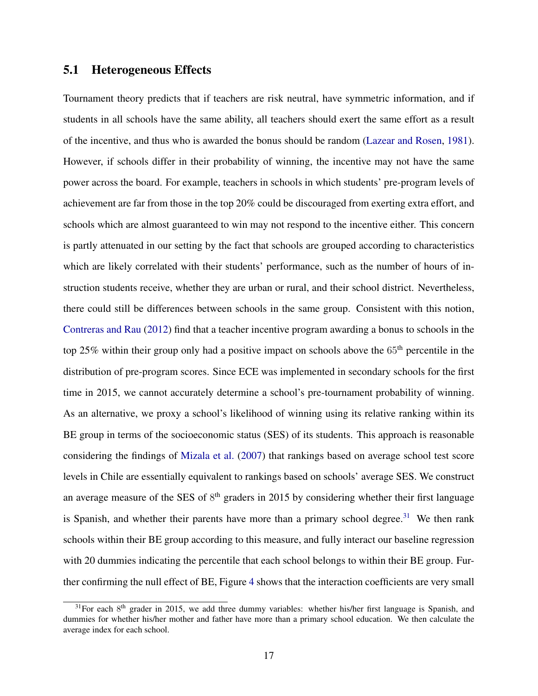### 5.1 Heterogeneous Effects

Tournament theory predicts that if teachers are risk neutral, have symmetric information, and if students in all schools have the same ability, all teachers should exert the same effort as a result of the incentive, and thus who is awarded the bonus should be random [\(Lazear and Rosen,](#page-35-5) [1981\)](#page-35-5). However, if schools differ in their probability of winning, the incentive may not have the same power across the board. For example, teachers in schools in which students' pre-program levels of achievement are far from those in the top 20% could be discouraged from exerting extra effort, and schools which are almost guaranteed to win may not respond to the incentive either. This concern is partly attenuated in our setting by the fact that schools are grouped according to characteristics which are likely correlated with their students' performance, such as the number of hours of instruction students receive, whether they are urban or rural, and their school district. Nevertheless, there could still be differences between schools in the same group. Consistent with this notion, [Contreras and Rau](#page-33-0) [\(2012\)](#page-33-0) find that a teacher incentive program awarding a bonus to schools in the top 25% within their group only had a positive impact on schools above the  $65<sup>th</sup>$  percentile in the distribution of pre-program scores. Since ECE was implemented in secondary schools for the first time in 2015, we cannot accurately determine a school's pre-tournament probability of winning. As an alternative, we proxy a school's likelihood of winning using its relative ranking within its BE group in terms of the socioeconomic status (SES) of its students. This approach is reasonable considering the findings of [Mizala et al.](#page-35-6) [\(2007\)](#page-35-6) that rankings based on average school test score levels in Chile are essentially equivalent to rankings based on schools' average SES. We construct an average measure of the SES of  $8<sup>th</sup>$  graders in 2015 by considering whether their first language is Spanish, and whether their parents have more than a primary school degree.<sup>[31](#page-19-0)</sup> We then rank schools within their BE group according to this measure, and fully interact our baseline regression with 20 dummies indicating the percentile that each school belongs to within their BE group. Further confirming the null effect of BE, Figure [4](#page-40-0) shows that the interaction coefficients are very small

<span id="page-19-0"></span> $31$  For each  $8<sup>th</sup>$  grader in 2015, we add three dummy variables: whether his/her first language is Spanish, and dummies for whether his/her mother and father have more than a primary school education. We then calculate the average index for each school.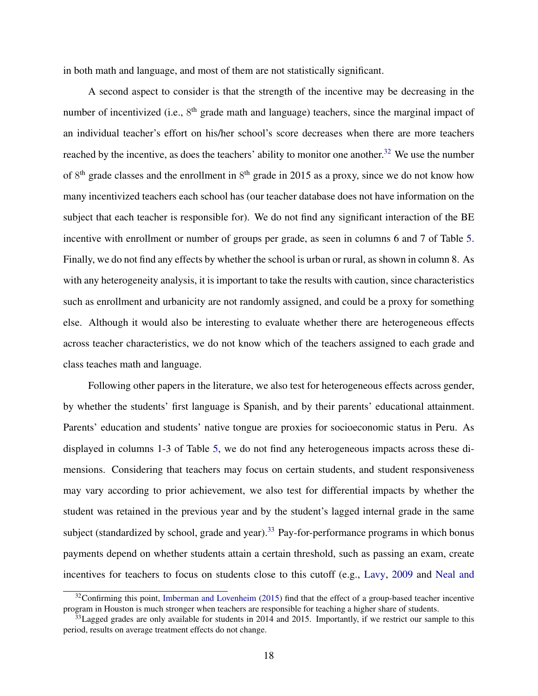in both math and language, and most of them are not statistically significant.

A second aspect to consider is that the strength of the incentive may be decreasing in the number of incentivized (i.e., 8<sup>th</sup> grade math and language) teachers, since the marginal impact of an individual teacher's effort on his/her school's score decreases when there are more teachers reached by the incentive, as does the teachers' ability to monitor one another.<sup>[32](#page-20-0)</sup> We use the number of  $8<sup>th</sup>$  grade classes and the enrollment in  $8<sup>th</sup>$  grade in 2015 as a proxy, since we do not know how many incentivized teachers each school has (our teacher database does not have information on the subject that each teacher is responsible for). We do not find any significant interaction of the BE incentive with enrollment or number of groups per grade, as seen in columns 6 and 7 of Table [5.](#page-45-0) Finally, we do not find any effects by whether the school is urban or rural, as shown in column 8. As with any heterogeneity analysis, it is important to take the results with caution, since characteristics such as enrollment and urbanicity are not randomly assigned, and could be a proxy for something else. Although it would also be interesting to evaluate whether there are heterogeneous effects across teacher characteristics, we do not know which of the teachers assigned to each grade and class teaches math and language.

Following other papers in the literature, we also test for heterogeneous effects across gender, by whether the students' first language is Spanish, and by their parents' educational attainment. Parents' education and students' native tongue are proxies for socioeconomic status in Peru. As displayed in columns 1-3 of Table [5,](#page-45-0) we do not find any heterogeneous impacts across these dimensions. Considering that teachers may focus on certain students, and student responsiveness may vary according to prior achievement, we also test for differential impacts by whether the student was retained in the previous year and by the student's lagged internal grade in the same subject (standardized by school, grade and year).<sup>[33](#page-20-1)</sup> Pay-for-performance programs in which bonus payments depend on whether students attain a certain threshold, such as passing an exam, create incentives for teachers to focus on students close to this cutoff (e.g., [Lavy,](#page-35-1) [2009](#page-35-1) and [Neal and](#page-35-7)

<span id="page-20-0"></span> $32$ Confirming this point, [Imberman and Lovenheim](#page-34-5) [\(2015\) find that the effect of a group-based teacher incentive](#page-35-7) [program in Houston is much stronger when teachers are responsible for teaching a higher share of students.](#page-35-7)

<span id="page-20-1"></span> $33$ [Lagged grades are only available for students in 2014 and 2015. Importantly, if we restrict our sample to this](#page-35-7) [period, results on average treatment effects do not change.](#page-35-7)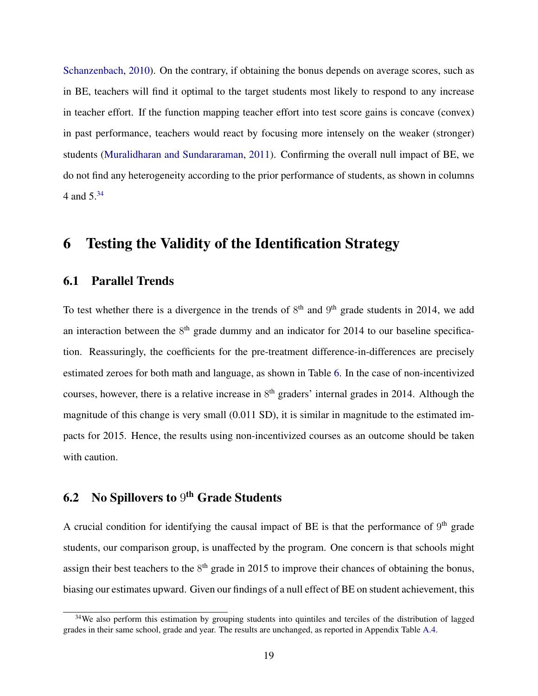[Schanzenbach,](#page-35-7) [2010\)](#page-35-7). On the contrary, if obtaining the bonus depends on average scores, such as in BE, teachers will find it optimal to the target students most likely to respond to any increase in teacher effort. If the function mapping teacher effort into test score gains is concave (convex) in past performance, teachers would react by focusing more intensely on the weaker (stronger) students [\(Muralidharan and Sundararaman,](#page-35-0) [2011\)](#page-35-0). Confirming the overall null impact of BE, we do not find any heterogeneity according to the prior performance of students, as shown in columns 4 and 5.[34](#page-21-3)

## <span id="page-21-0"></span>6 Testing the Validity of the Identification Strategy

### <span id="page-21-1"></span>6.1 Parallel Trends

To test whether there is a divergence in the trends of  $8<sup>th</sup>$  and  $9<sup>th</sup>$  grade students in 2014, we add an interaction between the  $8<sup>th</sup>$  grade dummy and an indicator for 2014 to our baseline specification. Reassuringly, the coefficients for the pre-treatment difference-in-differences are precisely estimated zeroes for both math and language, as shown in Table [6.](#page-46-0) In the case of non-incentivized courses, however, there is a relative increase in  $8<sup>th</sup>$  graders' internal grades in 2014. Although the magnitude of this change is very small (0.011 SD), it is similar in magnitude to the estimated impacts for 2015. Hence, the results using non-incentivized courses as an outcome should be taken with caution.

## <span id="page-21-2"></span>**6.2** No Spillovers to  $9^{\text{th}}$  Grade Students

A crucial condition for identifying the causal impact of BE is that the performance of  $9<sup>th</sup>$  grade students, our comparison group, is unaffected by the program. One concern is that schools might assign their best teachers to the  $8<sup>th</sup>$  grade in 2015 to improve their chances of obtaining the bonus, biasing our estimates upward. Given our findings of a null effect of BE on student achievement, this

<span id="page-21-3"></span><sup>&</sup>lt;sup>34</sup>We also perform this estimation by grouping students into quintiles and terciles of the distribution of lagged grades in their same school, grade and year. The results are unchanged, as reported in Appendix Table [A.4.](#page-53-0)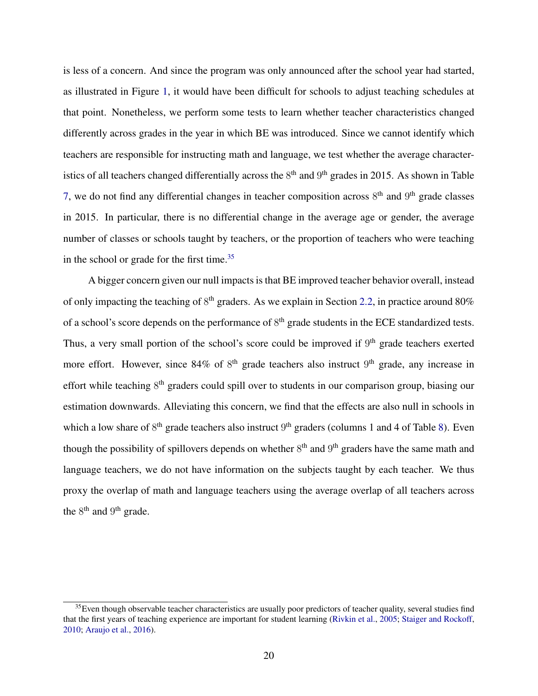is less of a concern. And since the program was only announced after the school year had started, as illustrated in Figure [1,](#page-37-0) it would have been difficult for schools to adjust teaching schedules at that point. Nonetheless, we perform some tests to learn whether teacher characteristics changed differently across grades in the year in which BE was introduced. Since we cannot identify which teachers are responsible for instructing math and language, we test whether the average characteristics of all teachers changed differentially across the  $8<sup>th</sup>$  and  $9<sup>th</sup>$  grades in 2015. As shown in Table [7,](#page-47-0) we do not find any differential changes in teacher composition across  $8<sup>th</sup>$  and  $9<sup>th</sup>$  grade classes in 2015. In particular, there is no differential change in the average age or gender, the average number of classes or schools taught by teachers, or the proportion of teachers who were teaching in the school or grade for the first time. $35$ 

A bigger concern given our null impacts is that BE improved teacher behavior overall, instead of only impacting the teaching of 8<sup>th</sup> graders. As we explain in Section [2.2,](#page-10-3) in practice around 80% of a school's score depends on the performance of  $8<sup>th</sup>$  grade students in the ECE standardized tests. Thus, a very small portion of the school's score could be improved if  $9<sup>th</sup>$  grade teachers exerted more effort. However, since 84% of  $8<sup>th</sup>$  grade teachers also instruct  $9<sup>th</sup>$  grade, any increase in effort while teaching 8<sup>th</sup> graders could spill over to students in our comparison group, biasing our estimation downwards. Alleviating this concern, we find that the effects are also null in schools in which a low share of  $8<sup>th</sup>$  grade teachers also instruct  $9<sup>th</sup>$  graders (columns 1 and 4 of Table [8\)](#page-48-0). Even though the possibility of spillovers depends on whether  $8<sup>th</sup>$  and  $9<sup>th</sup>$  graders have the same math and language teachers, we do not have information on the subjects taught by each teacher. We thus proxy the overlap of math and language teachers using the average overlap of all teachers across the  $8<sup>th</sup>$  and  $9<sup>th</sup>$  grade.

<span id="page-22-0"></span> $35$  Even though observable teacher characteristics are usually poor predictors of teacher quality, several studies find that the first years of teaching experience are important for student learning [\(Rivkin et al.,](#page-35-8) [2005;](#page-35-8) [Staiger and Rockoff,](#page-36-2) [2010;](#page-36-2) [Araujo et al.,](#page-31-0) [2016\)](#page-31-0).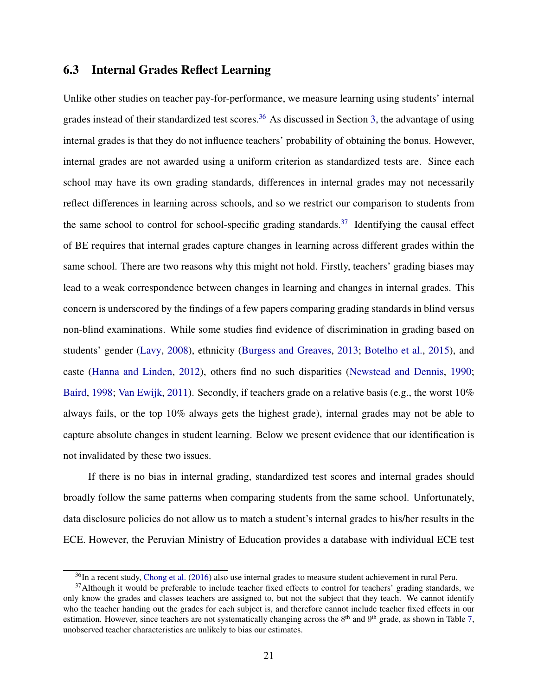### <span id="page-23-0"></span>6.3 Internal Grades Reflect Learning

Unlike other studies on teacher pay-for-performance, we measure learning using students' internal grades instead of their standardized test scores.<sup>[36](#page-23-1)</sup> As discussed in Section [3,](#page-12-0) the advantage of using internal grades is that they do not influence teachers' probability of obtaining the bonus. However, internal grades are not awarded using a uniform criterion as standardized tests are. Since each school may have its own grading standards, differences in internal grades may not necessarily reflect differences in learning across schools, and so we restrict our comparison to students from the same school to control for school-specific grading standards.<sup>[37](#page-23-2)</sup> Identifying the causal effect of BE requires that internal grades capture changes in learning across different grades within the same school. There are two reasons why this might not hold. Firstly, teachers' grading biases may lead to a weak correspondence between changes in learning and changes in internal grades. This concern is underscored by the findings of a few papers comparing grading standards in blind versus non-blind examinations. While some studies find evidence of discrimination in grading based on students' gender [\(Lavy,](#page-34-6) [2008\)](#page-34-6), ethnicity [\(Burgess and Greaves,](#page-32-5) [2013;](#page-32-5) [Botelho et al.,](#page-32-6) [2015\)](#page-32-6), and caste [\(Hanna and Linden,](#page-34-7) [2012\)](#page-34-7), others find no such disparities [\(Newstead and Dennis,](#page-35-9) [1990;](#page-35-9) [Baird,](#page-31-7) [1998;](#page-31-7) [Van Ewijk,](#page-33-8) [2011\)](#page-33-8). Secondly, if teachers grade on a relative basis (e.g., the worst 10% always fails, or the top 10% always gets the highest grade), internal grades may not be able to capture absolute changes in student learning. Below we present evidence that our identification is not invalidated by these two issues.

If there is no bias in internal grading, standardized test scores and internal grades should broadly follow the same patterns when comparing students from the same school. Unfortunately, data disclosure policies do not allow us to match a student's internal grades to his/her results in the ECE. However, the Peruvian Ministry of Education provides a database with individual ECE test

<span id="page-23-2"></span><span id="page-23-1"></span><sup>&</sup>lt;sup>36</sup>In a recent study, [Chong et al.](#page-32-7) [\(2016\)](#page-32-7) also use internal grades to measure student achievement in rural Peru.

 $37$ Although it would be preferable to include teacher fixed effects to control for teachers' grading standards, we only know the grades and classes teachers are assigned to, but not the subject that they teach. We cannot identify who the teacher handing out the grades for each subject is, and therefore cannot include teacher fixed effects in our estimation. However, since teachers are not systematically changing across the  $8<sup>th</sup>$  and  $9<sup>th</sup>$  grade, as shown in Table [7,](#page-47-0) unobserved teacher characteristics are unlikely to bias our estimates.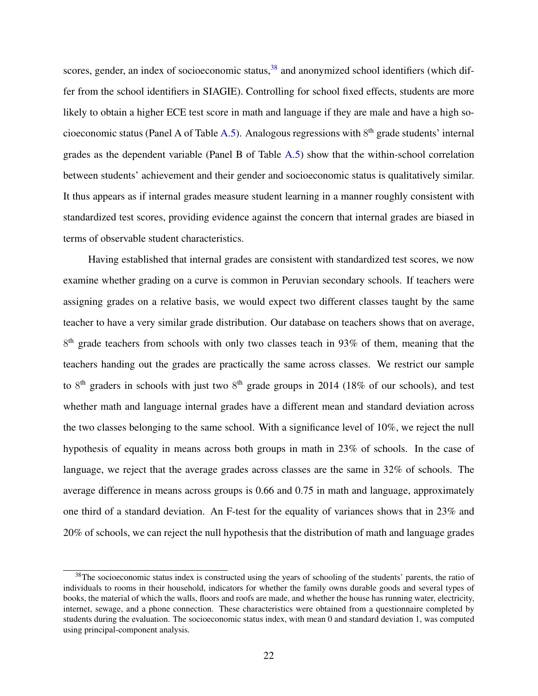scores, gender, an index of socioeconomic status,<sup>[38](#page-24-0)</sup> and anonymized school identifiers (which differ from the school identifiers in SIAGIE). Controlling for school fixed effects, students are more likely to obtain a higher ECE test score in math and language if they are male and have a high so-cioeconomic status (Panel A of Table [A.5\)](#page-54-0). Analogous regressions with  $8<sup>th</sup>$  grade students' internal grades as the dependent variable (Panel B of Table [A.5\)](#page-54-0) show that the within-school correlation between students' achievement and their gender and socioeconomic status is qualitatively similar. It thus appears as if internal grades measure student learning in a manner roughly consistent with standardized test scores, providing evidence against the concern that internal grades are biased in terms of observable student characteristics.

Having established that internal grades are consistent with standardized test scores, we now examine whether grading on a curve is common in Peruvian secondary schools. If teachers were assigning grades on a relative basis, we would expect two different classes taught by the same teacher to have a very similar grade distribution. Our database on teachers shows that on average, 8<sup>th</sup> grade teachers from schools with only two classes teach in 93% of them, meaning that the teachers handing out the grades are practically the same across classes. We restrict our sample to  $8<sup>th</sup>$  graders in schools with just two  $8<sup>th</sup>$  grade groups in 2014 (18% of our schools), and test whether math and language internal grades have a different mean and standard deviation across the two classes belonging to the same school. With a significance level of 10%, we reject the null hypothesis of equality in means across both groups in math in 23% of schools. In the case of language, we reject that the average grades across classes are the same in 32% of schools. The average difference in means across groups is 0.66 and 0.75 in math and language, approximately one third of a standard deviation. An F-test for the equality of variances shows that in 23% and 20% of schools, we can reject the null hypothesis that the distribution of math and language grades

<span id="page-24-0"></span><sup>&</sup>lt;sup>38</sup>The socioeconomic status index is constructed using the years of schooling of the students' parents, the ratio of individuals to rooms in their household, indicators for whether the family owns durable goods and several types of books, the material of which the walls, floors and roofs are made, and whether the house has running water, electricity, internet, sewage, and a phone connection. These characteristics were obtained from a questionnaire completed by students during the evaluation. The socioeconomic status index, with mean 0 and standard deviation 1, was computed using principal-component analysis.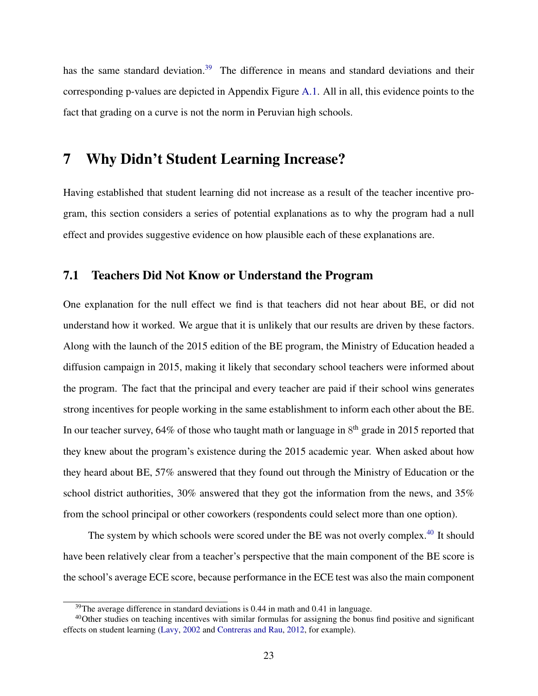has the same standard deviation.<sup>[39](#page-25-1)</sup> The difference in means and standard deviations and their corresponding p-values are depicted in Appendix Figure [A.1.](#page-55-0) All in all, this evidence points to the fact that grading on a curve is not the norm in Peruvian high schools.

## <span id="page-25-0"></span>7 Why Didn't Student Learning Increase?

Having established that student learning did not increase as a result of the teacher incentive program, this section considers a series of potential explanations as to why the program had a null effect and provides suggestive evidence on how plausible each of these explanations are.

### 7.1 Teachers Did Not Know or Understand the Program

One explanation for the null effect we find is that teachers did not hear about BE, or did not understand how it worked. We argue that it is unlikely that our results are driven by these factors. Along with the launch of the 2015 edition of the BE program, the Ministry of Education headed a diffusion campaign in 2015, making it likely that secondary school teachers were informed about the program. The fact that the principal and every teacher are paid if their school wins generates strong incentives for people working in the same establishment to inform each other about the BE. In our teacher survey, 64% of those who taught math or language in  $8<sup>th</sup>$  grade in 2015 reported that they knew about the program's existence during the 2015 academic year. When asked about how they heard about BE, 57% answered that they found out through the Ministry of Education or the school district authorities, 30% answered that they got the information from the news, and 35% from the school principal or other coworkers (respondents could select more than one option).

The system by which schools were scored under the BE was not overly complex.<sup>[40](#page-25-2)</sup> It should have been relatively clear from a teacher's perspective that the main component of the BE score is the school's average ECE score, because performance in the ECE test was also the main component

<span id="page-25-2"></span><span id="page-25-1"></span> $39$ The average difference in standard deviations is 0.44 in math and 0.41 in language.

<sup>&</sup>lt;sup>40</sup>Other studies on teaching incentives with similar formulas for assigning the bonus find positive and significant effects on student learning [\(Lavy,](#page-34-1) [2002](#page-34-1) and [Contreras and Rau,](#page-33-0) [2012,](#page-33-0) for example).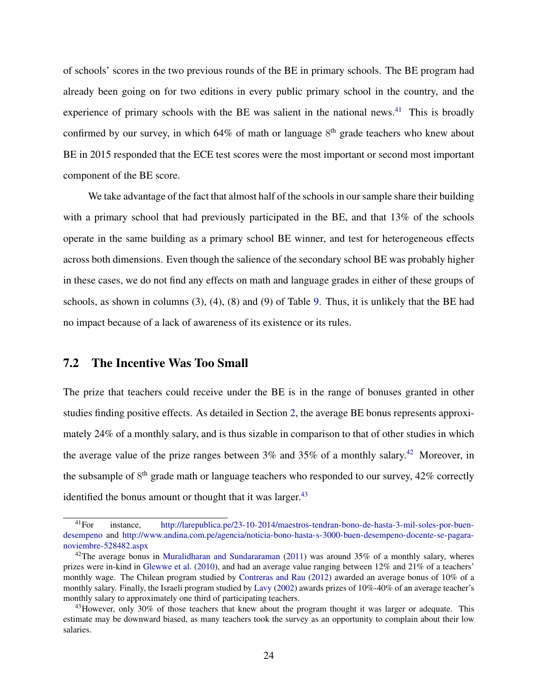of schools' scores in the two previous rounds of the BE in primary schools. The BE program had already been going on for two editions in every public primary school in the country, and the experience of primary schools with the BE was salient in the national news.<sup>[41](#page-26-0)</sup> This is broadly confirmed by our survey, in which  $64\%$  of math or language  $8<sup>th</sup>$  grade teachers who knew about BE in 2015 responded that the ECE test scores were the most important or second most important component of the BE score.

We take advantage of the fact that almost half of the schools in our sample share their building with a primary school that had previously participated in the BE, and that 13% of the schools operate in the same building as a primary school BE winner, and test for heterogeneous effects across both dimensions. Even though the salience of the secondary school BE was probably higher in these cases, we do not find any effects on math and language grades in either of these groups of schools, as shown in columns (3), (4), (8) and (9) of Table [9.](#page-49-0) Thus, it is unlikely that the BE had no impact because of a lack of awareness of its existence or its rules.

#### 7.2 The Incentive Was Too Small

The prize that teachers could receive under the BE is in the range of bonuses granted in other studies finding positive effects. As detailed in Section [2,](#page-8-0) the average BE bonus represents approximately 24% of a monthly salary, and is thus sizable in comparison to that of other studies in which the average value of the prize ranges between  $3\%$  and  $35\%$  of a monthly salary.<sup>[42](#page-26-1)</sup> Moreover, in the subsample of  $8<sup>th</sup>$  grade math or language teachers who responded to our survey, 42% correctly identified the bonus amount or thought that it was larger. $43$ 

<span id="page-26-0"></span><sup>&</sup>lt;sup>41</sup>For instance, [http://larepublica.pe/23-10-2014/maestros-tendran-bono-de-hasta-3-mil-soles-por-buen](http://larepublica.pe/23-10-2014/maestros-tendran-bono-de-hasta-3-mil-soles-por-buen-desempeno)[desempeno](http://larepublica.pe/23-10-2014/maestros-tendran-bono-de-hasta-3-mil-soles-por-buen-desempeno) and [http://www.andina.com.pe/agencia/noticia-bono-hasta-s-3000-buen-desempeno-docente-se-pagara](http://www.andina.com.pe/agencia/noticia-bono-hasta-s-3000-buen-desempeno-docente-se-pagara-noviembre-528482.aspx)[noviembre-528482.aspx](http://www.andina.com.pe/agencia/noticia-bono-hasta-s-3000-buen-desempeno-docente-se-pagara-noviembre-528482.aspx)

<span id="page-26-1"></span><sup>&</sup>lt;sup>42</sup>The average bonus in [Muralidharan and Sundararaman](#page-35-0) [\(2011\)](#page-35-0) was around  $35\%$  of a monthly salary, wheres prizes were in-kind in [Glewwe et al.](#page-33-1) [\(2010\)](#page-33-1), and had an average value ranging between 12% and 21% of a teachers' monthly wage. The Chilean program studied by [Contreras and Rau](#page-33-0) [\(2012\)](#page-33-0) awarded an average bonus of 10% of a monthly salary. Finally, the Israeli program studied by [Lavy](#page-34-1) [\(2002\)](#page-34-1) awards prizes of 10%-40% of an average teacher's monthly salary to approximately one third of participating teachers.

<span id="page-26-2"></span><sup>43</sup> However, only 30% of those teachers that knew about the program thought it was larger or adequate. This estimate may be downward biased, as many teachers took the survey as an opportunity to complain about their low salaries.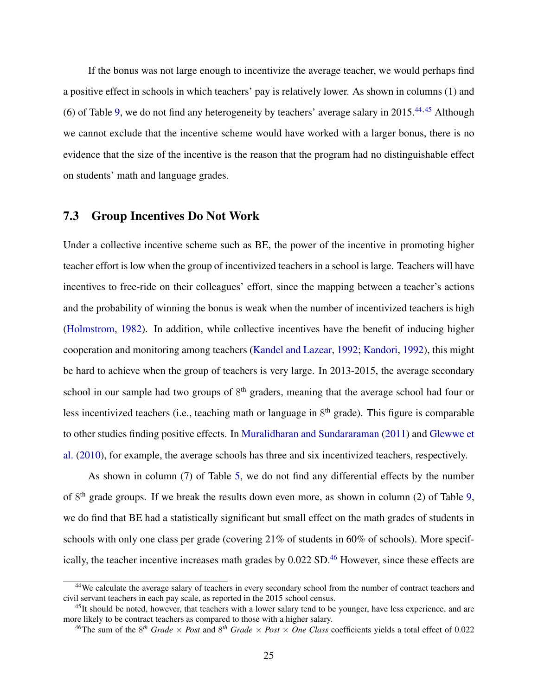If the bonus was not large enough to incentivize the average teacher, we would perhaps find a positive effect in schools in which teachers' pay is relatively lower. As shown in columns (1) and (6) of Table [9,](#page-49-0) we do not find any heterogeneity by teachers' average salary in 2015.[44](#page-27-0),[45](#page-27-1) Although we cannot exclude that the incentive scheme would have worked with a larger bonus, there is no evidence that the size of the incentive is the reason that the program had no distinguishable effect on students' math and language grades.

#### 7.3 Group Incentives Do Not Work

Under a collective incentive scheme such as BE, the power of the incentive in promoting higher teacher effort is low when the group of incentivized teachers in a school is large. Teachers will have incentives to free-ride on their colleagues' effort, since the mapping between a teacher's actions and the probability of winning the bonus is weak when the number of incentivized teachers is high [\(Holmstrom,](#page-34-8) [1982\)](#page-34-8). In addition, while collective incentives have the benefit of inducing higher cooperation and monitoring among teachers [\(Kandel and Lazear,](#page-34-9) [1992;](#page-34-9) [Kandori,](#page-34-10) [1992\)](#page-34-10), this might be hard to achieve when the group of teachers is very large. In 2013-2015, the average secondary school in our sample had two groups of  $8<sup>th</sup>$  graders, meaning that the average school had four or less incentivized teachers (i.e., teaching math or language in 8<sup>th</sup> grade). This figure is comparable to other studies finding positive effects. In [Muralidharan and Sundararaman](#page-35-0) [\(2011\)](#page-35-0) and [Glewwe et](#page-33-1) [al.](#page-33-1) [\(2010\)](#page-33-1), for example, the average schools has three and six incentivized teachers, respectively.

As shown in column (7) of Table [5,](#page-45-0) we do not find any differential effects by the number of 8<sup>th</sup> grade groups. If we break the results down even more, as shown in column (2) of Table [9,](#page-49-0) we do find that BE had a statistically significant but small effect on the math grades of students in schools with only one class per grade (covering 21% of students in 60% of schools). More specif-ically, the teacher incentive increases math grades by 0.022 SD.<sup>[46](#page-27-2)</sup> However, since these effects are

<span id="page-27-0"></span><sup>44</sup>We calculate the average salary of teachers in every secondary school from the number of contract teachers and civil servant teachers in each pay scale, as reported in the 2015 school census.

<span id="page-27-1"></span> $45$ It should be noted, however, that teachers with a lower salary tend to be younger, have less experience, and are more likely to be contract teachers as compared to those with a higher salary.

<span id="page-27-2"></span><sup>&</sup>lt;sup>46</sup>The sum of the  $8^{th}$  *Grade*  $\times$  *Post* and  $8^{th}$  *Grade*  $\times$  *Post*  $\times$  *One Class* coefficients yields a total effect of 0.022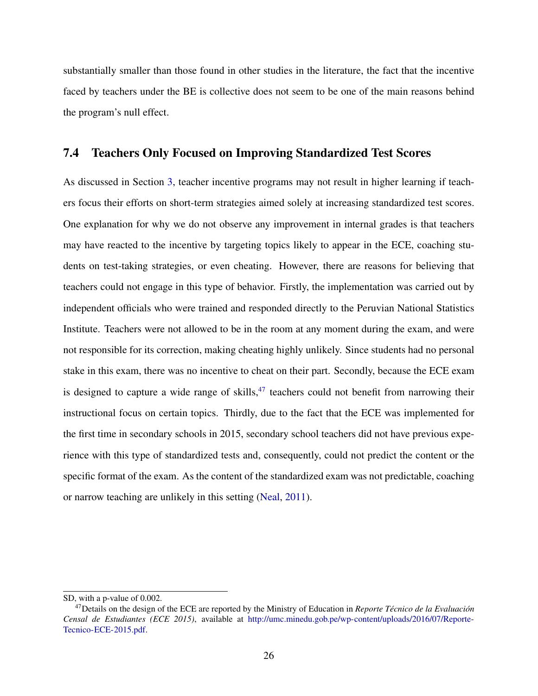substantially smaller than those found in other studies in the literature, the fact that the incentive faced by teachers under the BE is collective does not seem to be one of the main reasons behind the program's null effect.

#### 7.4 Teachers Only Focused on Improving Standardized Test Scores

As discussed in Section [3,](#page-12-0) teacher incentive programs may not result in higher learning if teachers focus their efforts on short-term strategies aimed solely at increasing standardized test scores. One explanation for why we do not observe any improvement in internal grades is that teachers may have reacted to the incentive by targeting topics likely to appear in the ECE, coaching students on test-taking strategies, or even cheating. However, there are reasons for believing that teachers could not engage in this type of behavior. Firstly, the implementation was carried out by independent officials who were trained and responded directly to the Peruvian National Statistics Institute. Teachers were not allowed to be in the room at any moment during the exam, and were not responsible for its correction, making cheating highly unlikely. Since students had no personal stake in this exam, there was no incentive to cheat on their part. Secondly, because the ECE exam is designed to capture a wide range of skills,  $47$  teachers could not benefit from narrowing their instructional focus on certain topics. Thirdly, due to the fact that the ECE was implemented for the first time in secondary schools in 2015, secondary school teachers did not have previous experience with this type of standardized tests and, consequently, could not predict the content or the specific format of the exam. As the content of the standardized exam was not predictable, coaching or narrow teaching are unlikely in this setting [\(Neal,](#page-35-3) [2011\)](#page-35-3).

SD, with a p-value of 0.002.

<span id="page-28-0"></span><sup>&</sup>lt;sup>47</sup>Details on the design of the ECE are reported by the Ministry of Education in *Reporte Técnico de la Evaluación Censal de Estudiantes (ECE 2015)*, available at [http://umc.minedu.gob.pe/wp-content/uploads/2016/07/Reporte-](http://umc.minedu.gob.pe/wp-content/uploads/2016/07/Reporte-Tecnico-ECE-2015.pdf)[Tecnico-ECE-2015.pdf.](http://umc.minedu.gob.pe/wp-content/uploads/2016/07/Reporte-Tecnico-ECE-2015.pdf)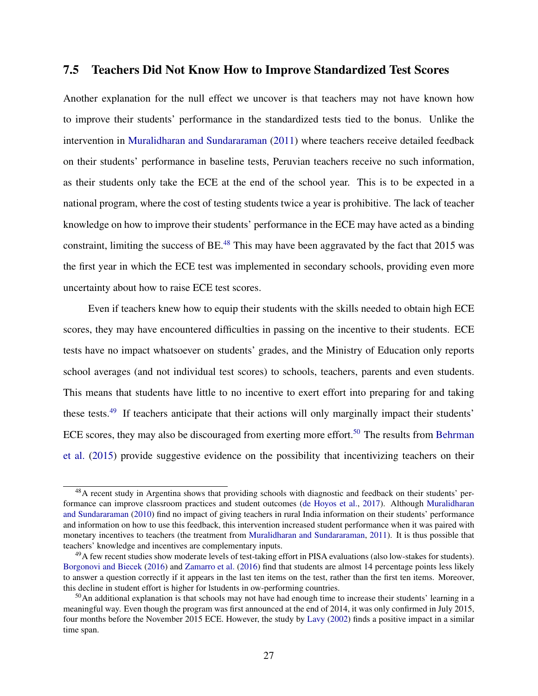### 7.5 Teachers Did Not Know How to Improve Standardized Test Scores

Another explanation for the null effect we uncover is that teachers may not have known how to improve their students' performance in the standardized tests tied to the bonus. Unlike the intervention in [Muralidharan and Sundararaman](#page-35-0) [\(2011\)](#page-35-0) where teachers receive detailed feedback on their students' performance in baseline tests, Peruvian teachers receive no such information, as their students only take the ECE at the end of the school year. This is to be expected in a national program, where the cost of testing students twice a year is prohibitive. The lack of teacher knowledge on how to improve their students' performance in the ECE may have acted as a binding constraint, limiting the success of BE.<sup>[48](#page-29-0)</sup> This may have been aggravated by the fact that 2015 was the first year in which the ECE test was implemented in secondary schools, providing even more uncertainty about how to raise ECE test scores.

Even if teachers knew how to equip their students with the skills needed to obtain high ECE scores, they may have encountered difficulties in passing on the incentive to their students. ECE tests have no impact whatsoever on students' grades, and the Ministry of Education only reports school averages (and not individual test scores) to schools, teachers, parents and even students. This means that students have little to no incentive to exert effort into preparing for and taking these tests.<sup>[49](#page-29-1)</sup> If teachers anticipate that their actions will only marginally impact their students' ECE scores, they may also be discouraged from exerting more effort.<sup>[50](#page-29-2)</sup> The results from [Behrman](#page-31-1) [et al.](#page-31-1) [\(2015\)](#page-31-1) provide suggestive evidence on the possibility that incentivizing teachers on their

<span id="page-29-0"></span><sup>&</sup>lt;sup>48</sup>A recent study in Argentina shows that providing schools with diagnostic and feedback on their students' performance can improve classroom practices and student outcomes [\(de Hoyos et al.,](#page-33-9) [2017\)](#page-33-9). Although [Muralidharan](#page-35-10) [and Sundararaman](#page-35-10) [\(2010\)](#page-35-10) find no impact of giving teachers in rural India information on their students' performance and information on how to use this feedback, this intervention increased student performance when it was paired with monetary incentives to teachers (the treatment from [Muralidharan and Sundararaman,](#page-35-0) [2011\)](#page-35-0). It is thus possible that teachers' knowledge and incentives are complementary inputs.

<span id="page-29-1"></span><sup>&</sup>lt;sup>49</sup>A few recent studies show moderate levels of test-taking effort in PISA evaluations (also low-stakes for students). [Borgonovi and Biecek](#page-32-8) [\(2016\)](#page-32-8) and [Zamarro et al.](#page-36-3) [\(2016\)](#page-36-3) find that students are almost 14 percentage points less likely to answer a question correctly if it appears in the last ten items on the test, rather than the first ten items. Moreover, this decline in student effort is higher for lstudents in ow-performing countries.

<span id="page-29-2"></span><sup>50</sup>An additional explanation is that schools may not have had enough time to increase their students' learning in a meaningful way. Even though the program was first announced at the end of 2014, it was only confirmed in July 2015, four months before the November 2015 ECE. However, the study by [Lavy](#page-34-1) [\(2002\)](#page-34-1) finds a positive impact in a similar time span.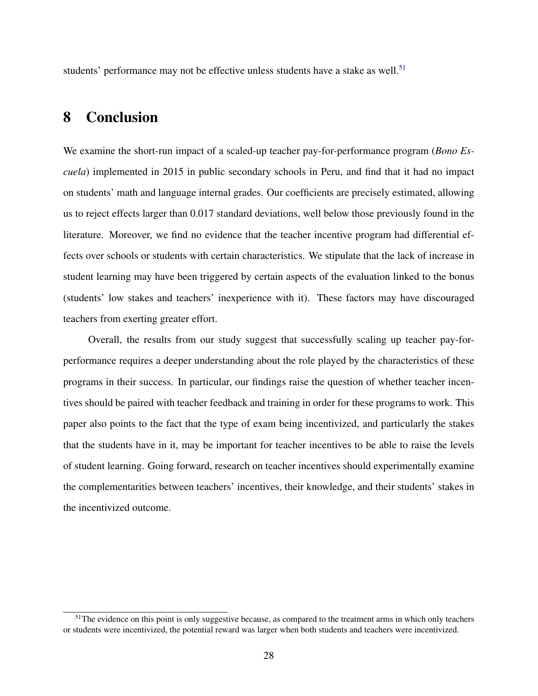students' performance may not be effective unless students have a stake as well.<sup>[51](#page-30-1)</sup>

## <span id="page-30-0"></span>8 Conclusion

We examine the short-run impact of a scaled-up teacher pay-for-performance program (*Bono Escuela*) implemented in 2015 in public secondary schools in Peru, and find that it had no impact on students' math and language internal grades. Our coefficients are precisely estimated, allowing us to reject effects larger than 0.017 standard deviations, well below those previously found in the literature. Moreover, we find no evidence that the teacher incentive program had differential effects over schools or students with certain characteristics. We stipulate that the lack of increase in student learning may have been triggered by certain aspects of the evaluation linked to the bonus (students' low stakes and teachers' inexperience with it). These factors may have discouraged teachers from exerting greater effort.

Overall, the results from our study suggest that successfully scaling up teacher pay-forperformance requires a deeper understanding about the role played by the characteristics of these programs in their success. In particular, our findings raise the question of whether teacher incentives should be paired with teacher feedback and training in order for these programs to work. This paper also points to the fact that the type of exam being incentivized, and particularly the stakes that the students have in it, may be important for teacher incentives to be able to raise the levels of student learning. Going forward, research on teacher incentives should experimentally examine the complementarities between teachers' incentives, their knowledge, and their students' stakes in the incentivized outcome.

<span id="page-30-1"></span><sup>&</sup>lt;sup>51</sup>The evidence on this point is only suggestive because, as compared to the treatment arms in which only teachers or students were incentivized, the potential reward was larger when both students and teachers were incentivized.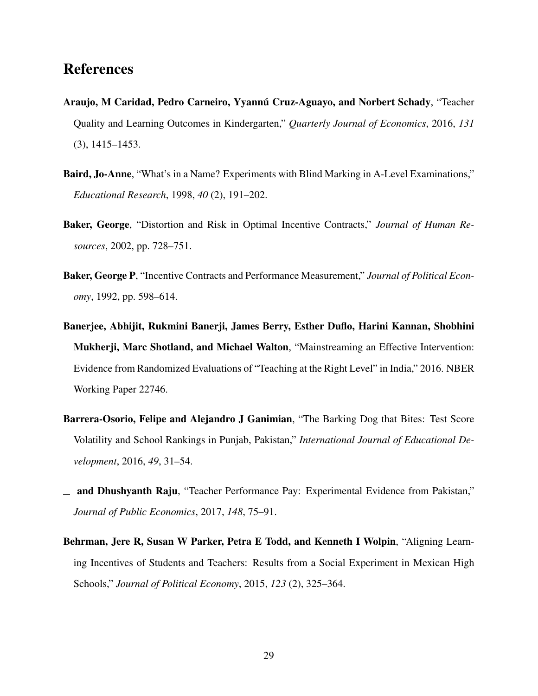## References

- <span id="page-31-0"></span>Araujo, M Caridad, Pedro Carneiro, Yvannú Cruz-Aguayo, and Norbert Schady, "Teacher Quality and Learning Outcomes in Kindergarten," *Quarterly Journal of Economics*, 2016, *131* (3), 1415–1453.
- <span id="page-31-7"></span>Baird, Jo-Anne, "What's in a Name? Experiments with Blind Marking in A-Level Examinations," *Educational Research*, 1998, *40* (2), 191–202.
- <span id="page-31-6"></span>Baker, George, "Distortion and Risk in Optimal Incentive Contracts," *Journal of Human Resources*, 2002, pp. 728–751.
- <span id="page-31-5"></span>Baker, George P, "Incentive Contracts and Performance Measurement," *Journal of Political Economy*, 1992, pp. 598–614.
- <span id="page-31-4"></span>Banerjee, Abhijit, Rukmini Banerji, James Berry, Esther Duflo, Harini Kannan, Shobhini Mukherji, Marc Shotland, and Michael Walton, "Mainstreaming an Effective Intervention: Evidence from Randomized Evaluations of "Teaching at the Right Level" in India," 2016. NBER Working Paper 22746.
- <span id="page-31-3"></span>Barrera-Osorio, Felipe and Alejandro J Ganimian, "The Barking Dog that Bites: Test Score Volatility and School Rankings in Punjab, Pakistan," *International Journal of Educational Development*, 2016, *49*, 31–54.
- <span id="page-31-2"></span>and Dhushyanth Raju, "Teacher Performance Pay: Experimental Evidence from Pakistan," *Journal of Public Economics*, 2017, *148*, 75–91.
- <span id="page-31-1"></span>Behrman, Jere R, Susan W Parker, Petra E Todd, and Kenneth I Wolpin, "Aligning Learning Incentives of Students and Teachers: Results from a Social Experiment in Mexican High Schools," *Journal of Political Economy*, 2015, *123* (2), 325–364.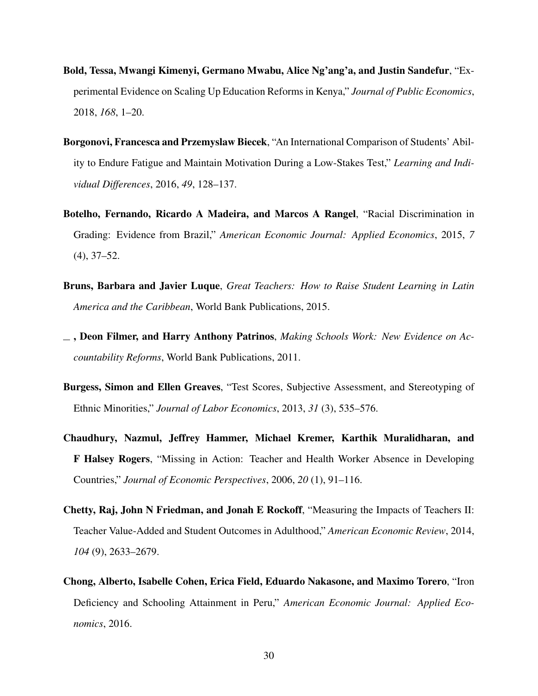- <span id="page-32-2"></span>Bold, Tessa, Mwangi Kimenyi, Germano Mwabu, Alice Ng'ang'a, and Justin Sandefur, "Experimental Evidence on Scaling Up Education Reforms in Kenya," *Journal of Public Economics*, 2018, *168*, 1–20.
- <span id="page-32-8"></span>Borgonovi, Francesca and Przemyslaw Biecek, "An International Comparison of Students' Ability to Endure Fatigue and Maintain Motivation During a Low-Stakes Test," *Learning and Individual Differences*, 2016, *49*, 128–137.
- <span id="page-32-6"></span>Botelho, Fernando, Ricardo A Madeira, and Marcos A Rangel, "Racial Discrimination in Grading: Evidence from Brazil," *American Economic Journal: Applied Economics*, 2015, *7* (4), 37–52.
- <span id="page-32-3"></span>Bruns, Barbara and Javier Luque, *Great Teachers: How to Raise Student Learning in Latin America and the Caribbean*, World Bank Publications, 2015.
- <span id="page-32-1"></span>, Deon Filmer, and Harry Anthony Patrinos, *Making Schools Work: New Evidence on Accountability Reforms*, World Bank Publications, 2011.
- <span id="page-32-5"></span>Burgess, Simon and Ellen Greaves, "Test Scores, Subjective Assessment, and Stereotyping of Ethnic Minorities," *Journal of Labor Economics*, 2013, *31* (3), 535–576.
- <span id="page-32-4"></span>Chaudhury, Nazmul, Jeffrey Hammer, Michael Kremer, Karthik Muralidharan, and F Halsey Rogers, "Missing in Action: Teacher and Health Worker Absence in Developing Countries," *Journal of Economic Perspectives*, 2006, *20* (1), 91–116.
- <span id="page-32-0"></span>Chetty, Raj, John N Friedman, and Jonah E Rockoff, "Measuring the Impacts of Teachers II: Teacher Value-Added and Student Outcomes in Adulthood," *American Economic Review*, 2014, *104* (9), 2633–2679.
- <span id="page-32-7"></span>Chong, Alberto, Isabelle Cohen, Erica Field, Eduardo Nakasone, and Maximo Torero, "Iron Deficiency and Schooling Attainment in Peru," *American Economic Journal: Applied Economics*, 2016.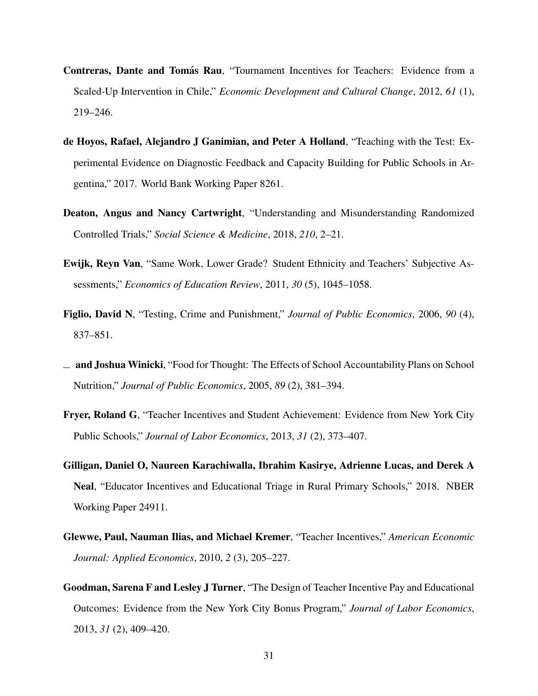- <span id="page-33-0"></span>Contreras, Dante and Tomás Rau, "Tournament Incentives for Teachers: Evidence from a Scaled-Up Intervention in Chile," *Economic Development and Cultural Change*, 2012, *61* (1), 219–246.
- <span id="page-33-9"></span>de Hoyos, Rafael, Alejandro J Ganimian, and Peter A Holland, "Teaching with the Test: Experimental Evidence on Diagnostic Feedback and Capacity Building for Public Schools in Argentina," 2017. World Bank Working Paper 8261.
- <span id="page-33-4"></span>Deaton, Angus and Nancy Cartwright, "Understanding and Misunderstanding Randomized Controlled Trials," *Social Science & Medicine*, 2018, *210*, 2–21.
- <span id="page-33-8"></span>Ewijk, Reyn Van, "Same Work, Lower Grade? Student Ethnicity and Teachers' Subjective Assessments," *Economics of Education Review*, 2011, *30* (5), 1045–1058.
- <span id="page-33-7"></span>Figlio, David N, "Testing, Crime and Punishment," *Journal of Public Economics*, 2006, *90* (4), 837–851.
- <span id="page-33-6"></span> $\Box$  and Joshua Winicki, "Food for Thought: The Effects of School Accountability Plans on School Nutrition," *Journal of Public Economics*, 2005, *89* (2), 381–394.
- <span id="page-33-2"></span>Fryer, Roland G, "Teacher Incentives and Student Achievement: Evidence from New York City Public Schools," *Journal of Labor Economics*, 2013, *31* (2), 373–407.
- <span id="page-33-5"></span>Gilligan, Daniel O, Naureen Karachiwalla, Ibrahim Kasirye, Adrienne Lucas, and Derek A Neal, "Educator Incentives and Educational Triage in Rural Primary Schools," 2018. NBER Working Paper 24911.
- <span id="page-33-1"></span>Glewwe, Paul, Nauman Ilias, and Michael Kremer, "Teacher Incentives," *American Economic Journal: Applied Economics*, 2010, *2* (3), 205–227.
- <span id="page-33-3"></span>Goodman, Sarena F and Lesley J Turner, "The Design of Teacher Incentive Pay and Educational Outcomes: Evidence from the New York City Bonus Program," *Journal of Labor Economics*, 2013, *31* (2), 409–420.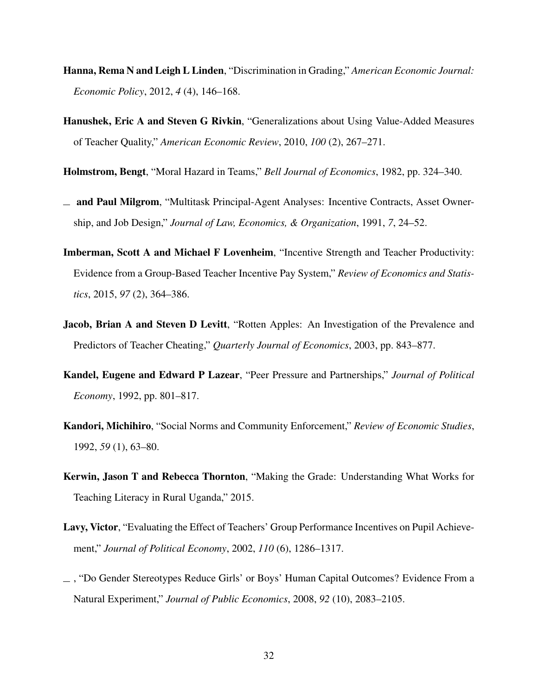- <span id="page-34-7"></span>Hanna, Rema N and Leigh L Linden, "Discrimination in Grading," *American Economic Journal: Economic Policy*, 2012, *4* (4), 146–168.
- <span id="page-34-0"></span>Hanushek, Eric A and Steven G Rivkin, "Generalizations about Using Value-Added Measures of Teacher Quality," *American Economic Review*, 2010, *100* (2), 267–271.
- <span id="page-34-8"></span>Holmstrom, Bengt, "Moral Hazard in Teams," *Bell Journal of Economics*, 1982, pp. 324–340.
- <span id="page-34-3"></span> $\equiv$  and Paul Milgrom, "Multitask Principal-Agent Analyses: Incentive Contracts, Asset Ownership, and Job Design," *Journal of Law, Economics, & Organization*, 1991, *7*, 24–52.
- <span id="page-34-5"></span>Imberman, Scott A and Michael F Lovenheim, "Incentive Strength and Teacher Productivity: Evidence from a Group-Based Teacher Incentive Pay System," *Review of Economics and Statistics*, 2015, *97* (2), 364–386.
- <span id="page-34-4"></span>**Jacob, Brian A and Steven D Levitt**, "Rotten Apples: An Investigation of the Prevalence and Predictors of Teacher Cheating," *Quarterly Journal of Economics*, 2003, pp. 843–877.
- <span id="page-34-9"></span>Kandel, Eugene and Edward P Lazear, "Peer Pressure and Partnerships," *Journal of Political Economy*, 1992, pp. 801–817.
- <span id="page-34-10"></span>Kandori, Michihiro, "Social Norms and Community Enforcement," *Review of Economic Studies*, 1992, *59* (1), 63–80.
- <span id="page-34-2"></span>Kerwin, Jason T and Rebecca Thornton, "Making the Grade: Understanding What Works for Teaching Literacy in Rural Uganda," 2015.
- <span id="page-34-1"></span>Lavy, Victor, "Evaluating the Effect of Teachers' Group Performance Incentives on Pupil Achievement," *Journal of Political Economy*, 2002, *110* (6), 1286–1317.
- <span id="page-34-6"></span>, "Do Gender Stereotypes Reduce Girls' or Boys' Human Capital Outcomes? Evidence From a Natural Experiment," *Journal of Public Economics*, 2008, *92* (10), 2083–2105.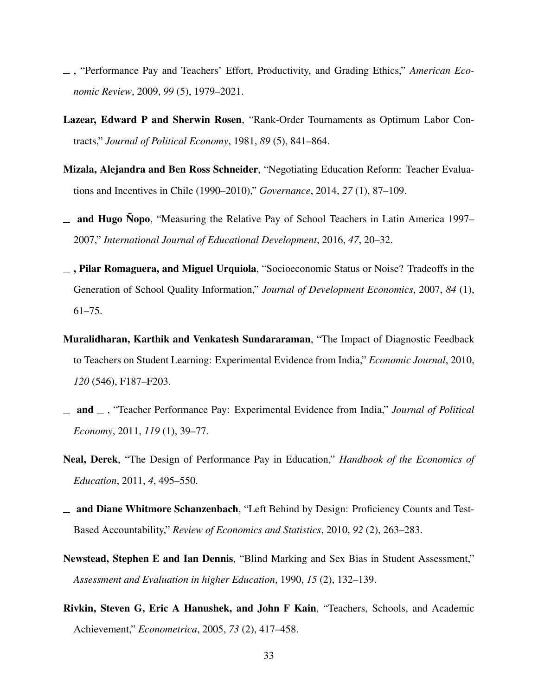- <span id="page-35-1"></span>, "Performance Pay and Teachers' Effort, Productivity, and Grading Ethics," *American Economic Review*, 2009, *99* (5), 1979–2021.
- <span id="page-35-5"></span>Lazear, Edward P and Sherwin Rosen, "Rank-Order Tournaments as Optimum Labor Contracts," *Journal of Political Economy*, 1981, *89* (5), 841–864.
- <span id="page-35-2"></span>Mizala, Alejandra and Ben Ross Schneider, "Negotiating Education Reform: Teacher Evaluations and Incentives in Chile (1990–2010)," *Governance*, 2014, *27* (1), 87–109.
- <span id="page-35-4"></span><sub>—</sub> and Hugo Nopo, "Measuring the Relative Pay of School Teachers in Latin America 1997– 2007," *International Journal of Educational Development*, 2016, *47*, 20–32.
- <span id="page-35-6"></span> $\overline{\phantom{a}}$ , Pilar Romaguera, and Miguel Urquiola, "Socioeconomic Status or Noise? Tradeoffs in the Generation of School Quality Information," *Journal of Development Economics*, 2007, *84* (1), 61–75.
- <span id="page-35-10"></span>Muralidharan, Karthik and Venkatesh Sundararaman, "The Impact of Diagnostic Feedback to Teachers on Student Learning: Experimental Evidence from India," *Economic Journal*, 2010, *120* (546), F187–F203.
- <span id="page-35-0"></span> $\Box$  and  $\Box$ , "Teacher Performance Pay: Experimental Evidence from India," *Journal of Political Economy*, 2011, *119* (1), 39–77.
- <span id="page-35-3"></span>Neal, Derek, "The Design of Performance Pay in Education," *Handbook of the Economics of Education*, 2011, *4*, 495–550.
- <span id="page-35-7"></span>and Diane Whitmore Schanzenbach, "Left Behind by Design: Proficiency Counts and Test-Based Accountability," *Review of Economics and Statistics*, 2010, *92* (2), 263–283.
- <span id="page-35-9"></span>Newstead, Stephen E and Ian Dennis, "Blind Marking and Sex Bias in Student Assessment," *Assessment and Evaluation in higher Education*, 1990, *15* (2), 132–139.
- <span id="page-35-8"></span>Rivkin, Steven G, Eric A Hanushek, and John F Kain, "Teachers, Schools, and Academic Achievement," *Econometrica*, 2005, *73* (2), 417–458.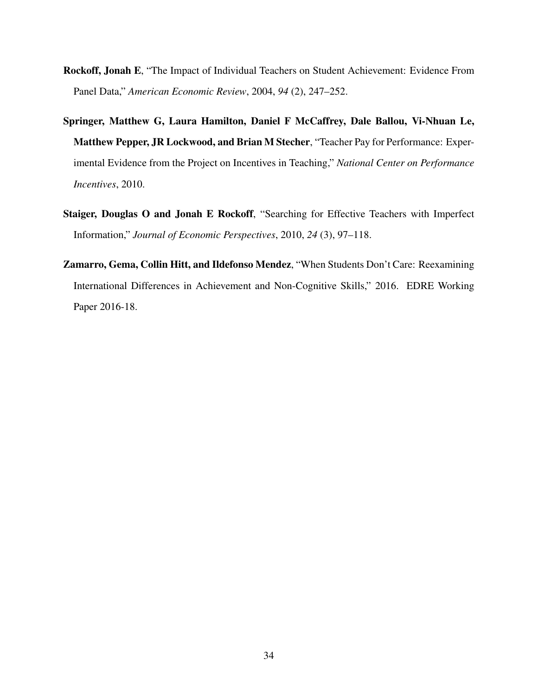- <span id="page-36-0"></span>Rockoff, Jonah E, "The Impact of Individual Teachers on Student Achievement: Evidence From Panel Data," *American Economic Review*, 2004, *94* (2), 247–252.
- <span id="page-36-1"></span>Springer, Matthew G, Laura Hamilton, Daniel F McCaffrey, Dale Ballou, Vi-Nhuan Le, Matthew Pepper, JR Lockwood, and Brian M Stecher, "Teacher Pay for Performance: Experimental Evidence from the Project on Incentives in Teaching," *National Center on Performance Incentives*, 2010.
- <span id="page-36-2"></span>Staiger, Douglas O and Jonah E Rockoff, "Searching for Effective Teachers with Imperfect Information," *Journal of Economic Perspectives*, 2010, *24* (3), 97–118.
- <span id="page-36-3"></span>Zamarro, Gema, Collin Hitt, and Ildefonso Mendez, "When Students Don't Care: Reexamining International Differences in Achievement and Non-Cognitive Skills," 2016. EDRE Working Paper 2016-18.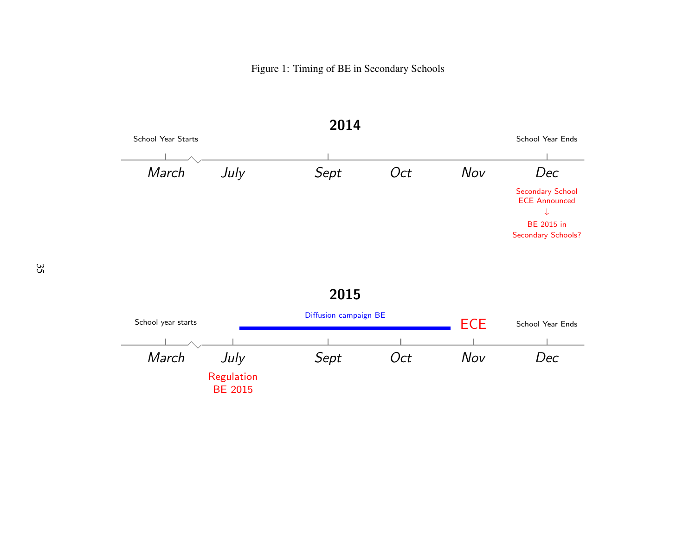Figure 1: Timing of BE in Secondary Schools

<span id="page-37-0"></span>

2015

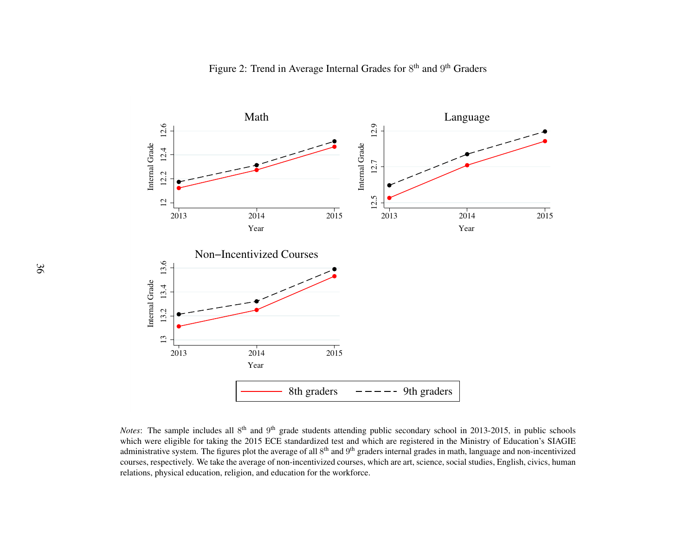

<span id="page-38-0"></span>*Notes*: The sample includes all 8<sup>th</sup> and 9<sup>th</sup> grade students attending public secondary school in 2013-2015, in public schools which were eligible for taking the 2015 ECE standardized test and which are registered in the Ministry of Education's SIAGIE administrative system. The figures plot the average of all  $8^{th}$  and  $9^{th}$  graders internal grades in math, language and non-incentivized courses, respectively. We take the average of non-incentivized courses, which are art, science, social studies, English, civics, humanrelations, physical education, religion, and education for the workforce.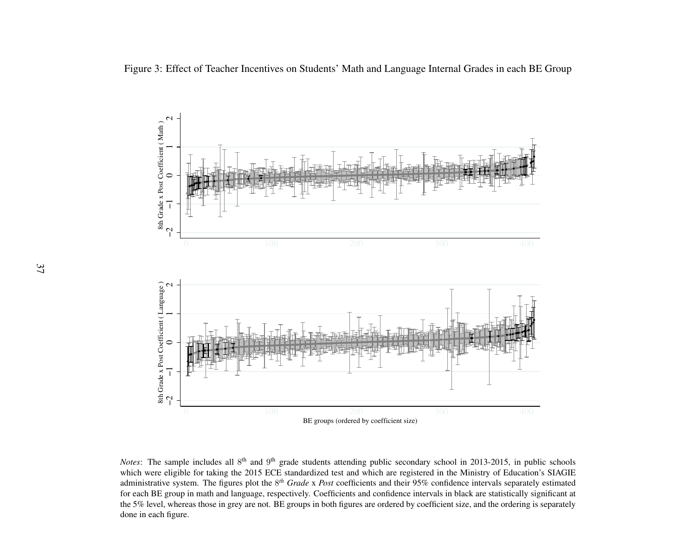

<span id="page-39-0"></span>*Notes*: The sample includes all 8<sup>th</sup> and 9<sup>th</sup> grade students attending public secondary school in 2013-2015, in public schools which were eligible for taking the 2015 ECE standardized test and which are registered in the Ministry of Education's SIAGIE administrative system. The figures plot the <sup>8</sup>*th Grade* x *Post* coefficients and their 95% confidence intervals separately estimated for each BE group in math and language, respectively. Coefficients and confidence intervals in black are statistically significant at the 5% level, whereas those in grey are not. BE groups in both figures are ordered by coefficient size, and the ordering is separatelydone in each figure.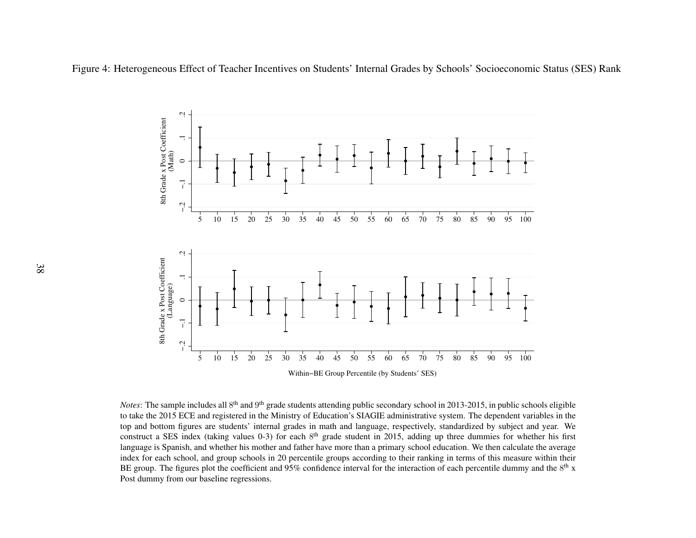<span id="page-40-0"></span>Figure 4: Heterogeneous Effect of Teacher Incentives on Students' Internal Grades by Schools' Socioeconomic Status (SES) Rank



*Notes*: The sample includes all 8<sup>th</sup> and 9<sup>th</sup> grade students attending public secondary school in 2013-2015, in public schools eligible to take the 2015 ECE and registered in the Ministry of Education's SIAGIE administrative system. The dependent variables in the top and bottom figures are students' internal grades in math and language, respectively, standardized by subject and year. Weconstruct a SES index (taking values 0-3) for each  $8<sup>th</sup>$  grade student in 2015, adding up three dummies for whether his first language is Spanish, and whether his mother and father have more than <sup>a</sup> primary school education. We then calculate the average index for each school, and group schools in 20 percentile groups according to their ranking in terms of this measure within theirBE group. The figures plot the coefficient and 95% confidence interval for the interaction of each percentile dummy and the  $8<sup>th</sup>$  x Post dummy from our baseline regressions.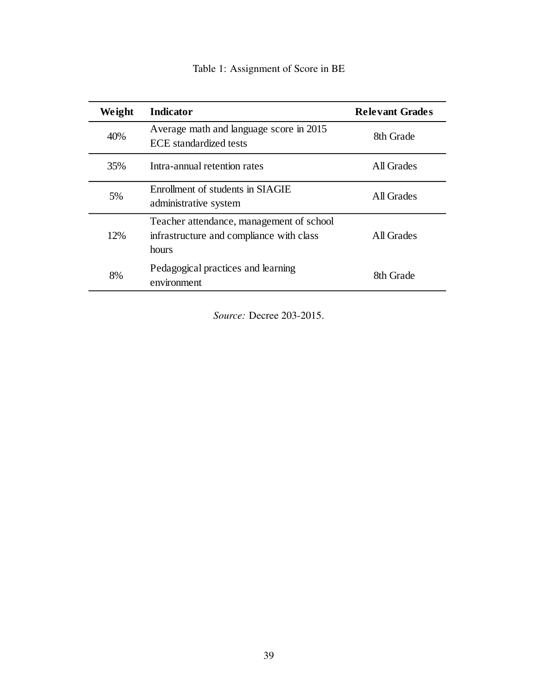|  | Table 1: Assignment of Score in BE |  |  |  |
|--|------------------------------------|--|--|--|
|--|------------------------------------|--|--|--|

<span id="page-41-0"></span>

| Weight | <b>Indicator</b>                                                                              | <b>Relevant Grades</b> |
|--------|-----------------------------------------------------------------------------------------------|------------------------|
| 40%    | Average math and language score in 2015<br><b>ECE</b> standardized tests                      | 8th Grade              |
| 35%    | Intra-annual retention rates                                                                  | All Grades             |
| 5%     | Enrollment of students in SIAGIE<br>administrative system                                     | All Grades             |
| 12%    | Teacher attendance, management of school<br>infrastructure and compliance with class<br>hours | All Grades             |
| 8%     | Pedagogical practices and learning<br>environment                                             | 8th Grade              |

*Source:* Decree 203-2015.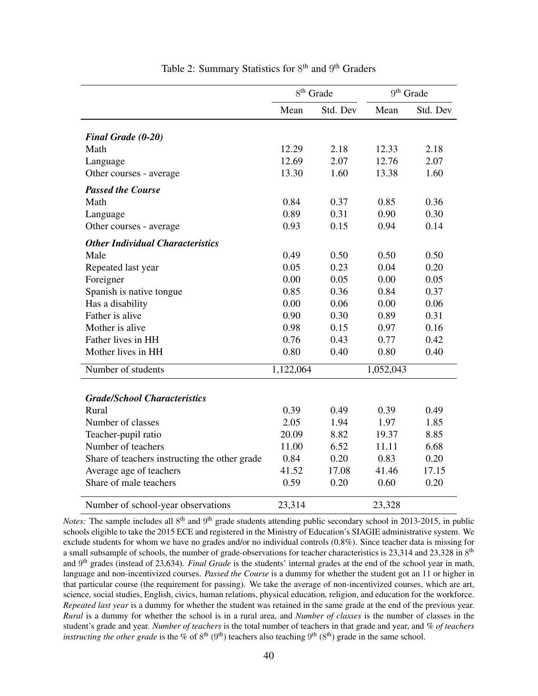<span id="page-42-0"></span>

|                                               | $8^{th}$ Grade |          | 9 <sup>th</sup> Grade |          |
|-----------------------------------------------|----------------|----------|-----------------------|----------|
|                                               | Mean           | Std. Dev | Mean                  | Std. Dev |
|                                               |                |          |                       |          |
| <b>Final Grade (0-20)</b>                     |                |          |                       |          |
| Math                                          | 12.29          | 2.18     | 12.33                 | 2.18     |
| Language                                      | 12.69          | 2.07     | 12.76                 | 2.07     |
| Other courses - average                       | 13.30          | 1.60     | 13.38                 | 1.60     |
| <b>Passed the Course</b>                      |                |          |                       |          |
| Math                                          | 0.84           | 0.37     | 0.85                  | 0.36     |
| Language                                      | 0.89           | 0.31     | 0.90                  | 0.30     |
| Other courses - average                       | 0.93           | 0.15     | 0.94                  | 0.14     |
| <b>Other Individual Characteristics</b>       |                |          |                       |          |
| Male                                          | 0.49           | 0.50     | 0.50                  | 0.50     |
| Repeated last year                            | 0.05           | 0.23     | 0.04                  | 0.20     |
| Foreigner                                     | 0.00           | 0.05     | 0.00                  | 0.05     |
| Spanish is native tongue                      | 0.85           | 0.36     | 0.84                  | 0.37     |
| Has a disability                              | 0.00           | 0.06     | 0.00                  | 0.06     |
| Father is alive                               | 0.90           | 0.30     | 0.89                  | 0.31     |
| Mother is alive                               | 0.98           | 0.15     | 0.97                  | 0.16     |
| Father lives in HH                            | 0.76           | 0.43     | 0.77                  | 0.42     |
| Mother lives in HH                            | 0.80           | 0.40     | 0.80                  | 0.40     |
| Number of students                            | 1,122,064      |          | 1,052,043             |          |
|                                               |                |          |                       |          |
| <b>Grade/School Characteristics</b>           |                |          |                       |          |
| Rural                                         | 0.39           | 0.49     | 0.39                  | 0.49     |
| Number of classes                             | 2.05           | 1.94     | 1.97                  | 1.85     |
| Teacher-pupil ratio                           | 20.09          | 8.82     | 19.37                 | 8.85     |
| Number of teachers                            | 11.00          | 6.52     | 11.11                 | 6.68     |
| Share of teachers instructing the other grade | 0.84           | 0.20     | 0.83                  | 0.20     |
| Average age of teachers                       | 41.52          | 17.08    | 41.46                 | 17.15    |
| Share of male teachers                        | 0.59           | 0.20     | 0.60                  | 0.20     |
| Number of school-year observations            | 23,314         |          | 23,328                |          |

#### Table 2: Summary Statistics for 8<sup>th</sup> and 9<sup>th</sup> Graders

Notes: The sample includes all 8<sup>th</sup> and 9<sup>th</sup> grade students attending public secondary school in 2013-2015, in public schools eligible to take the 2015 ECE and registered in the Ministry of Education's SIAGIE administrative system. We exclude students for whom we have no grades and/or no individual controls (0.8%). Since teacher data is missing for a small subsample of schools, the number of grade-observations for teacher characteristics is  $23,314$  and  $23,328$  in  $8<sup>th</sup>$ and 9 th grades (instead of 23,634). *Final Grade* is the students' internal grades at the end of the school year in math, language and non-incentivized courses. *Passed the Course* is a dummy for whether the student got an 11 or higher in that particular course (the requirement for passing). We take the average of non-incentivized courses, which are art, science, social studies, English, civics, human relations, physical education, religion, and education for the workforce. *Repeated last year* is a dummy for whether the student was retained in the same grade at the end of the previous year. *Rural* is a dummy for whether the school is in a rural area, and *Number of classes* is the number of classes in the student's grade and year. *Number of teachers* is the total number of teachers in that grade and year, and *% of teachers instructing the other grade* is the % of  $8^{th}$  ( $9^{th}$ ) teachers also teaching  $9^{th}$  ( $8^{th}$ ) grade in the same school.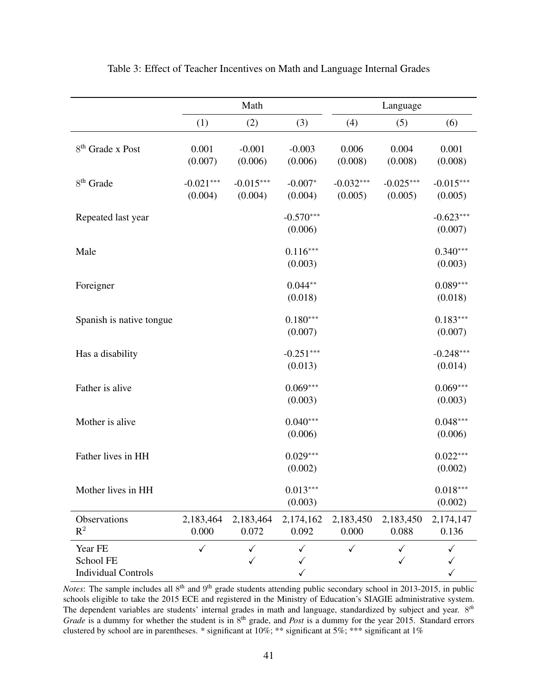<span id="page-43-0"></span>

|                                                    |                        | Math                   |                        | Language               |                        |                                   |
|----------------------------------------------------|------------------------|------------------------|------------------------|------------------------|------------------------|-----------------------------------|
|                                                    | (1)                    | (2)                    | (3)                    | (4)                    | (5)                    | (6)                               |
| 8 <sup>th</sup> Grade x Post                       | 0.001<br>(0.007)       | $-0.001$<br>(0.006)    | $-0.003$<br>(0.006)    | 0.006<br>(0.008)       | 0.004<br>(0.008)       | 0.001<br>(0.008)                  |
| 8 <sup>th</sup> Grade                              | $-0.021***$<br>(0.004) | $-0.015***$<br>(0.004) | $-0.007*$<br>(0.004)   | $-0.032***$<br>(0.005) | $-0.025***$<br>(0.005) | $-0.015***$<br>(0.005)            |
| Repeated last year                                 |                        |                        | $-0.570***$<br>(0.006) |                        |                        | $-0.623***$<br>(0.007)            |
| Male                                               |                        |                        | $0.116***$<br>(0.003)  |                        |                        | $0.340***$<br>(0.003)             |
| Foreigner                                          |                        |                        | $0.044**$<br>(0.018)   |                        |                        | $0.089***$<br>(0.018)             |
| Spanish is native tongue                           |                        |                        | $0.180***$<br>(0.007)  |                        |                        | $0.183***$<br>(0.007)             |
| Has a disability                                   |                        |                        | $-0.251***$<br>(0.013) |                        |                        | $-0.248***$<br>(0.014)            |
| Father is alive                                    |                        |                        | $0.069***$<br>(0.003)  |                        |                        | $0.069***$<br>(0.003)             |
| Mother is alive                                    |                        |                        | $0.040***$<br>(0.006)  |                        |                        | $0.048***$<br>(0.006)             |
| Father lives in HH                                 |                        |                        | $0.029***$<br>(0.002)  |                        |                        | $0.022***$<br>(0.002)             |
| Mother lives in HH                                 |                        |                        | $0.013***$<br>(0.003)  |                        |                        | $0.018***$<br>(0.002)             |
| Observations<br>$R^2$                              | 2,183,464<br>0.000     | 2,183,464<br>0.072     | 2,174,162<br>0.092     | 2,183,450<br>0.000     | 2,183,450<br>0.088     | 2,174,147<br>0.136                |
| Year FE<br>School FE<br><b>Individual Controls</b> | $\checkmark$           | $\checkmark$<br>✓      | ✓<br>✓<br>$\checkmark$ | $\checkmark$           | ✓<br>✓                 | $\checkmark$<br>✓<br>$\checkmark$ |

Table 3: Effect of Teacher Incentives on Math and Language Internal Grades

*Notes*: The sample includes all 8<sup>th</sup> and 9<sup>th</sup> grade students attending public secondary school in 2013-2015, in public schools eligible to take the 2015 ECE and registered in the Ministry of Education's SIAGIE administrative system. The dependent variables are students' internal grades in math and language, standardized by subject and year. 8 *th* Grade is a dummy for whether the student is in 8<sup>th</sup> grade, and *Post* is a dummy for the year 2015. Standard errors clustered by school are in parentheses. \* significant at 10%; \*\* significant at 5%; \*\*\* significant at 1%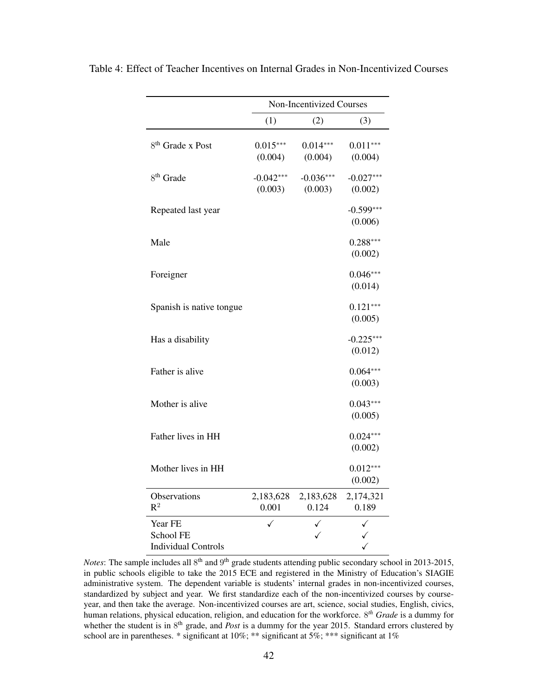|                                                    |                        | Non-Incentivized Courses |                        |
|----------------------------------------------------|------------------------|--------------------------|------------------------|
|                                                    | (1)                    | (2)                      | (3)                    |
| 8 <sup>th</sup> Grade x Post                       | $0.015***$<br>(0.004)  | $0.014***$<br>(0.004)    | $0.011***$<br>(0.004)  |
| 8 <sup>th</sup> Grade                              | $-0.042***$<br>(0.003) | $-0.036***$<br>(0.003)   | $-0.027***$<br>(0.002) |
| Repeated last year                                 |                        |                          | $-0.599***$<br>(0.006) |
| Male                                               |                        |                          | $0.288***$<br>(0.002)  |
| Foreigner                                          |                        |                          | $0.046***$<br>(0.014)  |
| Spanish is native tongue                           |                        |                          | $0.121***$<br>(0.005)  |
| Has a disability                                   |                        |                          | $-0.225***$<br>(0.012) |
| Father is alive                                    |                        |                          | $0.064***$<br>(0.003)  |
| Mother is alive                                    |                        |                          | $0.043***$<br>(0.005)  |
| Father lives in HH                                 |                        |                          | $0.024***$<br>(0.002)  |
| Mother lives in HH                                 |                        |                          | $0.012***$<br>(0.002)  |
| Observations<br>$R^2$                              | 2,183,628<br>0.001     | 2,183,628<br>0.124       | 2,174,321<br>0.189     |
| Year FE<br>School FE<br><b>Individual Controls</b> |                        |                          |                        |

<span id="page-44-0"></span>Table 4: Effect of Teacher Incentives on Internal Grades in Non-Incentivized Courses

Notes: The sample includes all 8<sup>th</sup> and 9<sup>th</sup> grade students attending public secondary school in 2013-2015, in public schools eligible to take the 2015 ECE and registered in the Ministry of Education's SIAGIE administrative system. The dependent variable is students' internal grades in non-incentivized courses, standardized by subject and year. We first standardize each of the non-incentivized courses by courseyear, and then take the average. Non-incentivized courses are art, science, social studies, English, civics, human relations, physical education, religion, and education for the workforce. 8 *th Grade* is a dummy for whether the student is in 8<sup>th</sup> grade, and *Post* is a dummy for the year 2015. Standard errors clustered by school are in parentheses. \* significant at 10%; \*\*\* significant at 5%; \*\*\* significant at 1%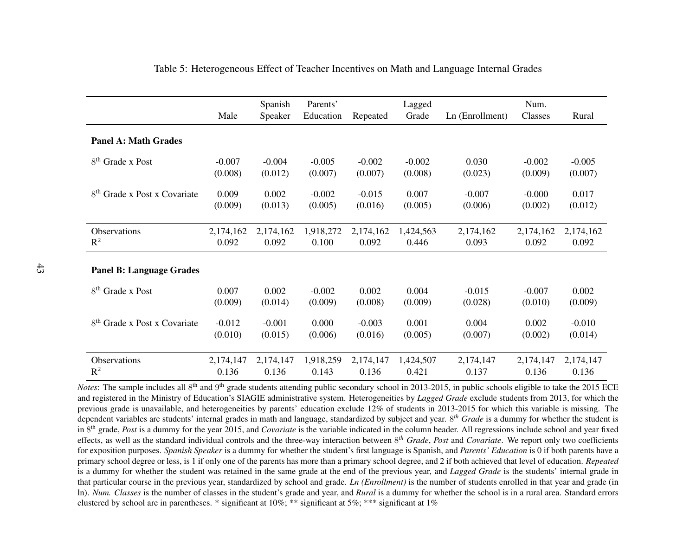|                                          |           | Spanish   | Parents'  |           | Lagged    |                 | Num.      |           |
|------------------------------------------|-----------|-----------|-----------|-----------|-----------|-----------------|-----------|-----------|
|                                          | Male      | Speaker   | Education | Repeated  | Grade     | Ln (Enrollment) | Classes   | Rural     |
|                                          |           |           |           |           |           |                 |           |           |
| <b>Panel A: Math Grades</b>              |           |           |           |           |           |                 |           |           |
| $8th$ Grade x Post                       | $-0.007$  | $-0.004$  | $-0.005$  | $-0.002$  | $-0.002$  | 0.030           | $-0.002$  | $-0.005$  |
|                                          | (0.008)   | (0.012)   | (0.007)   | (0.007)   | (0.008)   | (0.023)         | (0.009)   | (0.007)   |
| 8 <sup>th</sup> Grade x Post x Covariate | 0.009     | 0.002     | $-0.002$  | $-0.015$  | 0.007     | $-0.007$        | $-0.000$  | 0.017     |
|                                          | (0.009)   | (0.013)   | (0.005)   | (0.016)   | (0.005)   | (0.006)         | (0.002)   | (0.012)   |
|                                          |           |           |           |           |           |                 |           |           |
| Observations                             | 2,174,162 | 2,174,162 | 1,918,272 | 2,174,162 | 1,424,563 | 2,174,162       | 2,174,162 | 2,174,162 |
| $\mathbb{R}^2$                           | 0.092     | 0.092     | 0.100     | 0.092     | 0.446     | 0.093           | 0.092     | 0.092     |
|                                          |           |           |           |           |           |                 |           |           |
| <b>Panel B: Language Grades</b>          |           |           |           |           |           |                 |           |           |
| 8 <sup>th</sup> Grade x Post             | 0.007     | 0.002     | $-0.002$  | 0.002     | 0.004     | $-0.015$        | $-0.007$  | 0.002     |
|                                          | (0.009)   | (0.014)   | (0.009)   | (0.008)   | (0.009)   | (0.028)         | (0.010)   | (0.009)   |
| 8 <sup>th</sup> Grade x Post x Covariate | $-0.012$  | $-0.001$  | 0.000     | $-0.003$  | 0.001     | 0.004           | 0.002     | $-0.010$  |
|                                          | (0.010)   | (0.015)   | (0.006)   | (0.016)   | (0.005)   | (0.007)         | (0.002)   | (0.014)   |
|                                          |           |           |           |           |           |                 |           |           |
| Observations                             | 2,174,147 | 2,174,147 | 1,918,259 | 2,174,147 | 1,424,507 | 2,174,147       | 2,174,147 | 2,174,147 |
| $\mathbb{R}^2$                           | 0.136     | 0.136     | 0.143     | 0.136     | 0.421     | 0.137           | 0.136     | 0.136     |

#### Table 5: Heterogeneous Effect of Teacher Incentives on Math and Language Internal Grades

<span id="page-45-0"></span>*Notes*: The sample includes all 8<sup>th</sup> and 9<sup>th</sup> grade students attending public secondary school in 2013-2015, in public schools eligible to take the 2015 ECE and registered in the Ministry of Education's SIAGIE administrative system. Heterogeneities by *Lagged Grade* exclude students from 2013, for which the previous grade is unavailable, and heterogeneities by parents' education exclude 12% of students in 2013-2015 for which this variable is missing. The dependent variables are students' internal grades in math and language, standardized by subject and year. <sup>8</sup>*th Grade* is <sup>a</sup> dummy for whether the student is in <sup>8</sup>th grade, *Post* is <sup>a</sup> dummy for the year 2015, and *Covariate* is the variable indicated in the column header. All regressions include school and year fixed effects, as well as the standard individual controls and the three-way interaction between <sup>8</sup>*th Grade*, *Post* and *Covariate*. We repor<sup>t</sup> only two coefficients for exposition purposes. *Spanish Speaker* is <sup>a</sup> dummy for whether the student's first language is Spanish, and *Parents' Education* is <sup>0</sup> if both parents have <sup>a</sup> primary school degree or less, is 1 if only one of the parents has more than <sup>a</sup> primary school degree, and 2 if both achieved that level of education. *Repeated* is <sup>a</sup> dummy for whether the student was retained in the same grade at the end of the previous year, and *Lagged Grade* is the students' internal grade in that particular course in the previous year, standardized by school and grade. *Ln (Enrollment)* is the number of students enrolled in that year and grade (in ln). *Num. Classes* is the number of classes in the student's grade and year, and *Rural* is <sup>a</sup> dummy for whether the school is in <sup>a</sup> rural area. Standard errors clustered by school are in parentheses. \* significant at  $10\%$ ; \*\* significant at  $5\%$ ; \*\*\* significant at  $1\%$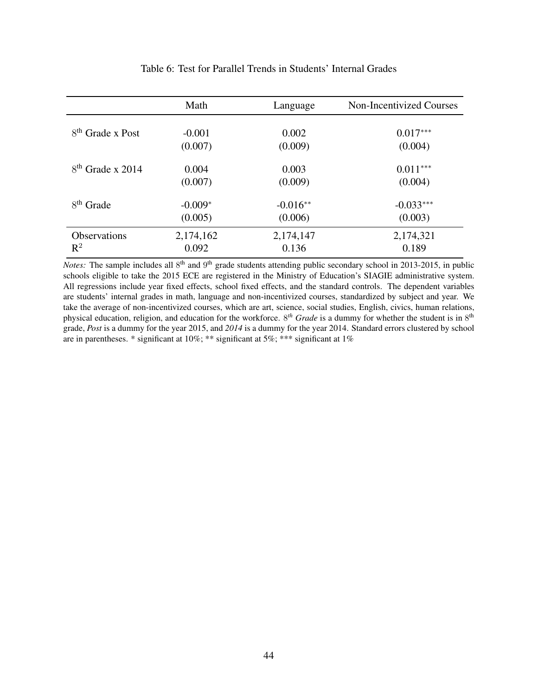<span id="page-46-0"></span>

|                       | Math      | Language   | <b>Non-Incentivized Courses</b> |
|-----------------------|-----------|------------|---------------------------------|
| $8th$ Grade x Post    | $-0.001$  | 0.002      | $0.017***$                      |
|                       | (0.007)   | (0.009)    | (0.004)                         |
| $8th$ Grade x 2014    | 0.004     | 0.003      | $0.011***$                      |
|                       | (0.007)   | (0.009)    | (0.004)                         |
| 8 <sup>th</sup> Grade | $-0.009*$ | $-0.016**$ | $-0.033***$                     |
|                       | (0.005)   | (0.006)    | (0.003)                         |
| <b>Observations</b>   | 2,174,162 | 2,174,147  | 2,174,321                       |
| $\mathbb{R}^2$        | 0.092     | 0.136      | 0.189                           |

#### Table 6: Test for Parallel Trends in Students' Internal Grades

*Notes*: The sample includes all 8<sup>th</sup> and 9<sup>th</sup> grade students attending public secondary school in 2013-2015, in public schools eligible to take the 2015 ECE are registered in the Ministry of Education's SIAGIE administrative system. All regressions include year fixed effects, school fixed effects, and the standard controls. The dependent variables are students' internal grades in math, language and non-incentivized courses, standardized by subject and year. We take the average of non-incentivized courses, which are art, science, social studies, English, civics, human relations, physical education, religion, and education for the workforce. 8<sup>th</sup> Grade is a dummy for whether the student is in 8<sup>th</sup> grade, *Post* is a dummy for the year 2015, and *2014* is a dummy for the year 2014. Standard errors clustered by school are in parentheses. \* significant at 10%; \*\* significant at 5%; \*\*\* significant at 1%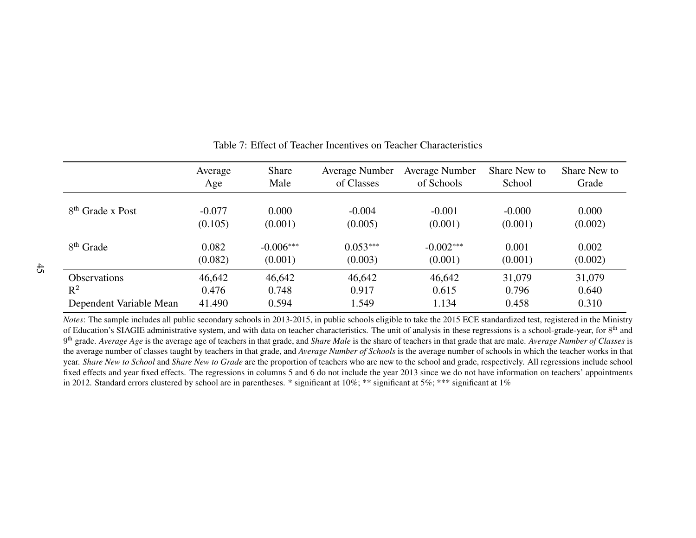|                         | Average  | Share       | <b>Average Number</b> | <b>Average Number</b> | Share New to | Share New to |
|-------------------------|----------|-------------|-----------------------|-----------------------|--------------|--------------|
|                         | Age      | Male        | of Classes            | of Schools            | School       | Grade        |
| $8th$ Grade x Post      | $-0.077$ | 0.000       | $-0.004$              | $-0.001$              | $-0.000$     | 0.000        |
|                         | (0.105)  | (0.001)     | (0.005)               | (0.001)               | (0.001)      | (0.002)      |
| $8th$ Grade             | 0.082    | $-0.006***$ | $0.053***$            | $-0.002***$           | 0.001        | 0.002        |
|                         | (0.082)  | (0.001)     | (0.003)               | (0.001)               | (0.001)      | (0.002)      |
| <b>Observations</b>     | 46,642   | 46,642      | 46,642                | 46,642                | 31,079       | 31,079       |
| $\mathbb{R}^2$          | 0.476    | 0.748       | 0.917                 | 0.615                 | 0.796        | 0.640        |
| Dependent Variable Mean | 41.490   | 0.594       | 1.549                 | 1.134                 | 0.458        | 0.310        |

#### <span id="page-47-0"></span>Table 7: Effect of Teacher Incentives on Teacher Characteristics

*Notes*: The sample includes all public secondary schools in 2013-2015, in public schools eligible to take the 2015 ECE standardized test, registered in the Ministryof Education's SIAGIE administrative system, and with data on teacher characteristics. The unit of analysis in these regressions is a school-grade-year, for  $8^{\text{th}}$  and 9<sup>th</sup> grade. *Average Age* is the average age of teachers in that grade, and *Share Male* is the share of teachers in that grade that are male. *Average Number of Classes* is the average number of classes taught by teachers in that grade, and *Average Number of Schools* is the average number of schools in which the teacher works in that year. *Share New to School* and *Share New to Grade* are the proportion of teachers who are new to the school and grade, respectively. All regressions include school fixed effects and year fixed effects. The regressions in columns 5 and 6 do not include the year 2013 since we do not have information on teachers' appointmentsin 2012. Standard errors clustered by school are in parentheses. \* significant at 10%; \*\*\* significant at 5%; \*\*\* significant at 1%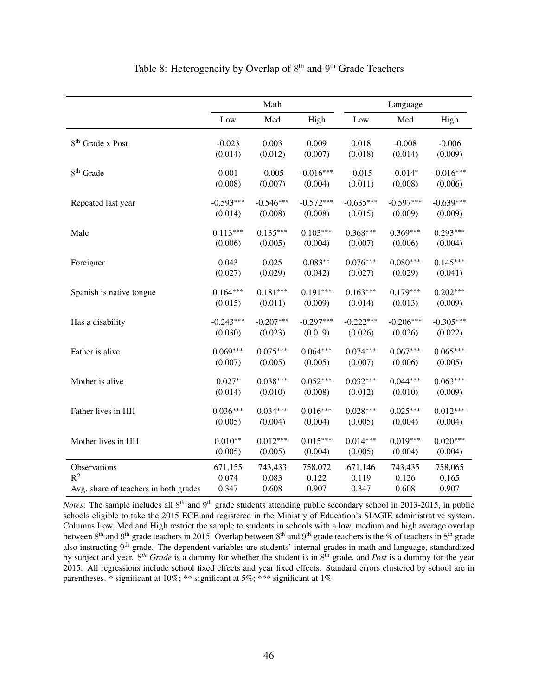<span id="page-48-0"></span>

|                                       | Math        |             |             |             | Language    |             |
|---------------------------------------|-------------|-------------|-------------|-------------|-------------|-------------|
|                                       | Low         | Med         | High        | Low         | Med         | High        |
| 8 <sup>th</sup> Grade x Post          | $-0.023$    | 0.003       | 0.009       | 0.018       | $-0.008$    | $-0.006$    |
|                                       | (0.014)     | (0.012)     | (0.007)     | (0.018)     | (0.014)     | (0.009)     |
| 8 <sup>th</sup> Grade                 | 0.001       | $-0.005$    | $-0.016***$ | $-0.015$    | $-0.014*$   | $-0.016***$ |
|                                       | (0.008)     | (0.007)     | (0.004)     | (0.011)     | (0.008)     | (0.006)     |
| Repeated last year                    | $-0.593***$ | $-0.546***$ | $-0.572***$ | $-0.635***$ | $-0.597***$ | $-0.639***$ |
|                                       | (0.014)     | (0.008)     | (0.008)     | (0.015)     | (0.009)     | (0.009)     |
| Male                                  | $0.113***$  | $0.135***$  | $0.103***$  | $0.368***$  | $0.369***$  | $0.293***$  |
|                                       | (0.006)     | (0.005)     | (0.004)     | (0.007)     | (0.006)     | (0.004)     |
| Foreigner                             | 0.043       | 0.025       | $0.083**$   | $0.076***$  | $0.080***$  | $0.145***$  |
|                                       | (0.027)     | (0.029)     | (0.042)     | (0.027)     | (0.029)     | (0.041)     |
| Spanish is native tongue              | $0.164***$  | $0.181***$  | $0.191***$  | $0.163***$  | $0.179***$  | $0.202***$  |
|                                       | (0.015)     | (0.011)     | (0.009)     | (0.014)     | (0.013)     | (0.009)     |
| Has a disability                      | $-0.243***$ | $-0.207***$ | $-0.297***$ | $-0.222***$ | $-0.206***$ | $-0.305***$ |
|                                       | (0.030)     | (0.023)     | (0.019)     | (0.026)     | (0.026)     | (0.022)     |
| Father is alive                       | $0.069***$  | $0.075***$  | $0.064***$  | $0.074***$  | $0.067***$  | $0.065***$  |
|                                       | (0.007)     | (0.005)     | (0.005)     | (0.007)     | (0.006)     | (0.005)     |
| Mother is alive                       | $0.027*$    | $0.038***$  | $0.052***$  | $0.032***$  | $0.044***$  | $0.063***$  |
|                                       | (0.014)     | (0.010)     | (0.008)     | (0.012)     | (0.010)     | (0.009)     |
| Father lives in HH                    | $0.036***$  | $0.034***$  | $0.016***$  | $0.028***$  | $0.025***$  | $0.012***$  |
|                                       | (0.005)     | (0.004)     | (0.004)     | (0.005)     | (0.004)     | (0.004)     |
| Mother lives in HH                    | $0.010**$   | $0.012***$  | $0.015***$  | $0.014***$  | $0.019***$  | $0.020***$  |
|                                       | (0.005)     | (0.005)     | (0.004)     | (0.005)     | (0.004)     | (0.004)     |
| Observations                          | 671,155     | 743,433     | 758,072     | 671,146     | 743,435     | 758,065     |
| $R^2$                                 | 0.074       | 0.083       | 0.122       | 0.119       | 0.126       | 0.165       |
| Avg. share of teachers in both grades | 0.347       | 0.608       | 0.907       | 0.347       | 0.608       | 0.907       |

#### Table 8: Heterogeneity by Overlap of 8<sup>th</sup> and 9<sup>th</sup> Grade Teachers

*Notes*: The sample includes all 8<sup>th</sup> and 9<sup>th</sup> grade students attending public secondary school in 2013-2015, in public schools eligible to take the 2015 ECE and registered in the Ministry of Education's SIAGIE administrative system. Columns Low, Med and High restrict the sample to students in schools with a low, medium and high average overlap between  $8^{th}$  and  $9^{th}$  grade teachers in 2015. Overlap between  $8^{th}$  and  $9^{th}$  grade teachers is the % of teachers in  $8^{th}$  grade also instructing 9<sup>th</sup> grade. The dependent variables are students' internal grades in math and language, standardized by subject and year. 8 *th Grade* is a dummy for whether the student is in 8 th grade, and *Post* is a dummy for the year 2015. All regressions include school fixed effects and year fixed effects. Standard errors clustered by school are in parentheses. \* significant at 10%; \*\* significant at 5%; \*\*\* significant at 1%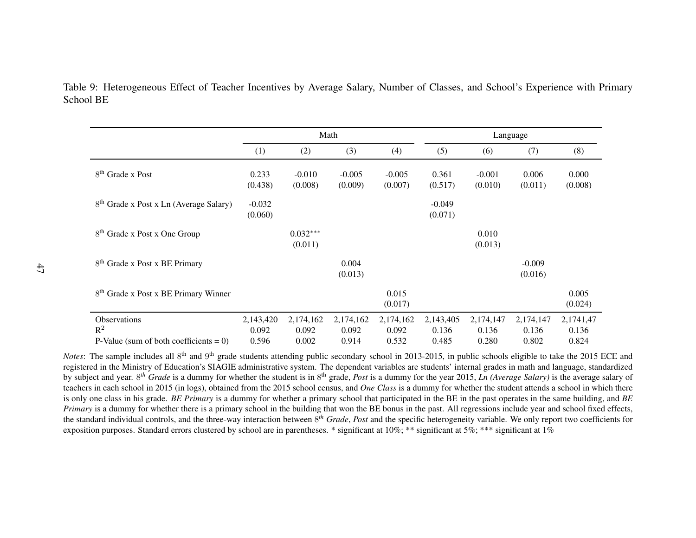Table 9: Heterogeneous Effect of Teacher Incentives by Average Salary, Number of Classes, and School's Experience with PrimarySchool BE

|                                                    | Math                |                       |                     |                     | Language            |                     |                     |                    |
|----------------------------------------------------|---------------------|-----------------------|---------------------|---------------------|---------------------|---------------------|---------------------|--------------------|
|                                                    | (1)                 | (2)                   | (3)                 | (4)                 | (5)                 | (6)                 | (7)                 | (8)                |
| $8th$ Grade x Post                                 | 0.233<br>(0.438)    | $-0.010$<br>(0.008)   | $-0.005$<br>(0.009) | $-0.005$<br>(0.007) | 0.361<br>(0.517)    | $-0.001$<br>(0.010) | 0.006<br>(0.011)    | 0.000<br>(0.008)   |
| 8 <sup>th</sup> Grade x Post x Ln (Average Salary) | $-0.032$<br>(0.060) |                       |                     |                     | $-0.049$<br>(0.071) |                     |                     |                    |
| 8 <sup>th</sup> Grade x Post x One Group           |                     | $0.032***$<br>(0.011) |                     |                     |                     | 0.010<br>(0.013)    |                     |                    |
| 8 <sup>th</sup> Grade x Post x BE Primary          |                     |                       | 0.004<br>(0.013)    |                     |                     |                     | $-0.009$<br>(0.016) |                    |
| 8 <sup>th</sup> Grade x Post x BE Primary Winner   |                     |                       |                     | 0.015<br>(0.017)    |                     |                     |                     | 0.005<br>(0.024)   |
| <b>Observations</b><br>$\mathbb{R}^2$              | 2,143,420<br>0.092  | 2,174,162<br>0.092    | 2,174,162<br>0.092  | 2,174,162<br>0.092  | 2,143,405<br>0.136  | 2,174,147<br>0.136  | 2,174,147<br>0.136  | 2,1741,47<br>0.136 |
| P-Value (sum of both coefficients = $0$ )          | 0.596               | 0.002                 | 0.914               | 0.532               | 0.485               | 0.280               | 0.802               | 0.824              |

<span id="page-49-0"></span>*Notes*: The sample includes all 8<sup>th</sup> and 9<sup>th</sup> grade students attending public secondary school in 2013-2015, in public schools eligible to take the 2015 ECE and registered in the Ministry of Education's SIAGIE administrative system. The dependent variables are students' internal grades in math and language, standardized by subject and year. <sup>8</sup>*th Grade* is <sup>a</sup> dummy for whether the student is in <sup>8</sup>th grade, *Post* is <sup>a</sup> dummy for the year 2015, *Ln (Average Salary)* is the average salary of teachers in each school in 2015 (in logs), obtained from the 2015 school census, and *One Class* is <sup>a</sup> dummy for whether the student attends <sup>a</sup> school in which there is only one class in his grade. *BE Primary* is <sup>a</sup> dummy for whether <sup>a</sup> primary school that participated in the BE in the pas<sup>t</sup> operates in the same building, and *BE Primary* is <sup>a</sup> dummy for whether there is <sup>a</sup> primary school in the building that won the BE bonus in the past. All regressions include year and school fixed effects, the standard individual controls, and the three-way interaction between <sup>8</sup>*th Grade*, *Post* and the specific heterogeneity variable. We only repor<sup>t</sup> two coefficients for exposition purposes. Standard errors clustered by school are in parentheses. \* significant at 10%; \*\* significant at 5%; \*\*\* significant at 1%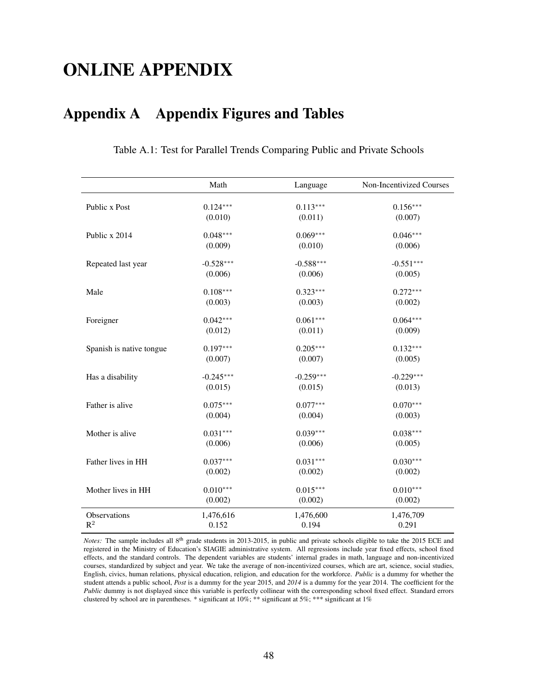## ONLINE APPENDIX

## <span id="page-50-0"></span>Appendix A Appendix Figures and Tables

|                          | Math        | Language    | Non-Incentivized Courses |
|--------------------------|-------------|-------------|--------------------------|
|                          |             |             |                          |
| Public x Post            | $0.124***$  | $0.113***$  | $0.156***$               |
|                          | (0.010)     | (0.011)     | (0.007)                  |
| Public x 2014            | $0.048***$  | $0.069***$  | $0.046***$               |
|                          | (0.009)     | (0.010)     | (0.006)                  |
| Repeated last year       | $-0.528***$ | $-0.588***$ | $-0.551***$              |
|                          | (0.006)     | (0.006)     | (0.005)                  |
| Male                     | $0.108***$  | $0.323***$  | $0.272***$               |
|                          | (0.003)     | (0.003)     | (0.002)                  |
|                          |             |             |                          |
| Foreigner                | $0.042***$  | $0.061***$  | $0.064***$               |
|                          | (0.012)     | (0.011)     | (0.009)                  |
| Spanish is native tongue | $0.197***$  | $0.205***$  | $0.132***$               |
|                          | (0.007)     | (0.007)     | (0.005)                  |
| Has a disability         | $-0.245***$ | $-0.259***$ | $-0.229***$              |
|                          | (0.015)     | (0.015)     | (0.013)                  |
|                          |             |             |                          |
| Father is alive          | $0.075***$  | $0.077***$  | $0.070***$               |
|                          | (0.004)     | (0.004)     | (0.003)                  |
| Mother is alive          | $0.031***$  | $0.039***$  | $0.038***$               |
|                          | (0.006)     | (0.006)     | (0.005)                  |
|                          |             |             |                          |
| Father lives in HH       | $0.037***$  | $0.031***$  | $0.030***$               |
|                          | (0.002)     | (0.002)     | (0.002)                  |
| Mother lives in HH       | $0.010***$  | $0.015***$  | $0.010***$               |
|                          | (0.002)     | (0.002)     | (0.002)                  |
| Observations             | 1,476,616   | 1,476,600   | 1,476,709                |
| $\mathbb{R}^2$           | 0.152       | 0.194       | 0.291                    |

Table A.1: Test for Parallel Trends Comparing Public and Private Schools

*Notes:* The sample includes all 8<sup>th</sup> grade students in 2013-2015, in public and private schools eligible to take the 2015 ECE and registered in the Ministry of Education's SIAGIE administrative system. All regressions include year fixed effects, school fixed effects, and the standard controls. The dependent variables are students' internal grades in math, language and non-incentivized courses, standardized by subject and year. We take the average of non-incentivized courses, which are art, science, social studies, English, civics, human relations, physical education, religion, and education for the workforce. *Public* is a dummy for whether the student attends a public school, *Post* is a dummy for the year 2015, and *2014* is a dummy for the year 2014. The coefficient for the *Public* dummy is not displayed since this variable is perfectly collinear with the corresponding school fixed effect. Standard errors clustered by school are in parentheses. \* significant at 10%; \*\* significant at 5%; \*\*\* significant at 1%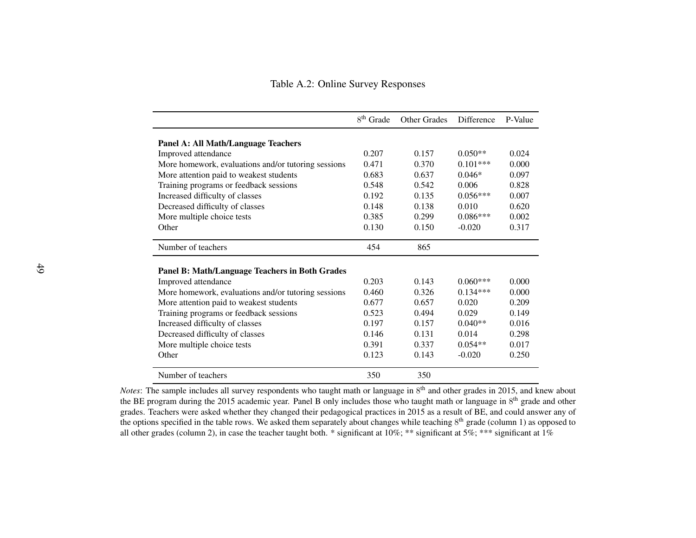Table A.2: Online Survey Responses

|                                                     | 8 <sup>th</sup> Grade | <b>Other Grades</b> | Difference | P-Value |
|-----------------------------------------------------|-----------------------|---------------------|------------|---------|
| <b>Panel A: All Math/Language Teachers</b>          |                       |                     |            |         |
| Improved attendance                                 | 0.207                 | 0.157               | $0.050**$  | 0.024   |
| More homework, evaluations and/or tutoring sessions | 0.471                 | 0.370               | $0.101***$ | 0.000   |
| More attention paid to weakest students             | 0.683                 | 0.637               | $0.046*$   | 0.097   |
| Training programs or feedback sessions              | 0.548                 | 0.542               | 0.006      | 0.828   |
| Increased difficulty of classes                     | 0.192                 | 0.135               | $0.056***$ | 0.007   |
| Decreased difficulty of classes                     | 0.148                 | 0.138               | 0.010      | 0.620   |
| More multiple choice tests                          | 0.385                 | 0.299               | $0.086***$ | 0.002   |
| Other                                               | 0.130                 | 0.150               | $-0.020$   | 0.317   |
| Number of teachers                                  | 454                   | 865                 |            |         |
| Panel B: Math/Language Teachers in Both Grades      |                       |                     |            |         |
| Improved attendance                                 | 0.203                 | 0.143               | $0.060***$ | 0.000   |
| More homework, evaluations and/or tutoring sessions | 0.460                 | 0.326               | $0.134***$ | 0.000   |
| More attention paid to weakest students             | 0.677                 | 0.657               | 0.020      | 0.209   |
| Training programs or feedback sessions              | 0.523                 | 0.494               | 0.029      | 0.149   |
| Increased difficulty of classes                     | 0.197                 | 0.157               | $0.040**$  | 0.016   |
| Decreased difficulty of classes                     | 0.146                 | 0.131               | 0.014      | 0.298   |
| More multiple choice tests                          | 0.391                 | 0.337               | $0.054**$  | 0.017   |
| Other                                               | 0.123                 | 0.143               | $-0.020$   | 0.250   |
| Number of teachers                                  | 350                   | 350                 |            |         |

<span id="page-51-0"></span>*Notes*: The sample includes all survey respondents who taught math or language in  $8<sup>th</sup>$  and other grades in 2015, and knew about the BE program during the 2015 academic year. Panel B only includes those who taught math or language in 8<sup>th</sup> grade and other grades. Teachers were asked whether they changed their pedagogical practices in 2015 as <sup>a</sup> result of BE, and could answer any ofthe options specified in the table rows. We asked them separately about changes while teaching  $8<sup>th</sup>$  grade (column 1) as opposed to all other grades (column 2), in case the teacher taught both. \* significant at  $10\%$ ; \*\*\* significant at  $1\%$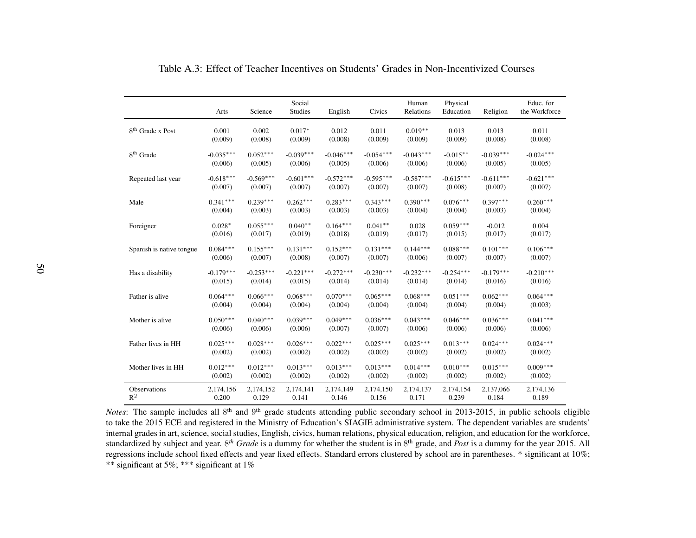|                              | Arts        | Science     | Social<br><b>Studies</b> | English     | Civics      | Human<br>Relations | Physical<br>Education | Religion    | Educ. for<br>the Workforce |
|------------------------------|-------------|-------------|--------------------------|-------------|-------------|--------------------|-----------------------|-------------|----------------------------|
| 8 <sup>th</sup> Grade x Post | 0.001       | 0.002       | $0.017*$                 | 0.012       | 0.011       | $0.019**$          | 0.013                 | 0.013       | 0.011                      |
|                              | (0.009)     | (0.008)     | (0.009)                  | (0.008)     | (0.009)     | (0.009)            | (0.009)               | (0.008)     | (0.008)                    |
| 8 <sup>th</sup> Grade        | $-0.035***$ | $0.052***$  | $-0.039***$              | $-0.046***$ | $-0.054***$ | $-0.043***$        | $-0.015**$            | $-0.039***$ | $-0.024***$                |
|                              | (0.006)     | (0.005)     | (0.006)                  | (0.005)     | (0.006)     | (0.006)            | (0.006)               | (0.005)     | (0.005)                    |
| Repeated last year           | $-0.618***$ | $-0.569***$ | $-0.601***$              | $-0.572***$ | $-0.595***$ | $-0.587***$        | $-0.615***$           | $-0.611***$ | $-0.621***$                |
|                              | (0.007)     | (0.007)     | (0.007)                  | (0.007)     | (0.007)     | (0.007)            | (0.008)               | (0.007)     | (0.007)                    |
| Male                         | $0.341***$  | $0.239***$  | $0.262***$               | $0.283***$  | $0.343***$  | $0.390***$         | $0.076***$            | $0.397***$  | $0.260***$                 |
|                              | (0.004)     | (0.003)     | (0.003)                  | (0.003)     | (0.003)     | (0.004)            | (0.004)               | (0.003)     | (0.004)                    |
| Foreigner                    | $0.028*$    | $0.055***$  | $0.040**$                | $0.164***$  | $0.041**$   | 0.028              | $0.059***$            | $-0.012$    | 0.004                      |
|                              | (0.016)     | (0.017)     | (0.019)                  | (0.018)     | (0.019)     | (0.017)            | (0.015)               | (0.017)     | (0.017)                    |
| Spanish is native tongue     | $0.084***$  | $0.155***$  | $0.131***$               | $0.152***$  | $0.131***$  | $0.144***$         | $0.088***$            | $0.101***$  | $0.106***$                 |
|                              | (0.006)     | (0.007)     | (0.008)                  | (0.007)     | (0.007)     | (0.006)            | (0.007)               | (0.007)     | (0.007)                    |
| Has a disability             | $-0.179***$ | $-0.253***$ | $-0.221***$              | $-0.272***$ | $-0.230***$ | $-0.232***$        | $-0.254***$           | $-0.179***$ | $-0.210***$                |
|                              | (0.015)     | (0.014)     | (0.015)                  | (0.014)     | (0.014)     | (0.014)            | (0.014)               | (0.016)     | (0.016)                    |
| Father is alive              | $0.064***$  | $0.066***$  | $0.068***$               | $0.070***$  | $0.065***$  | $0.068***$         | $0.051***$            | $0.062***$  | $0.064***$                 |
|                              | (0.004)     | (0.004)     | (0.004)                  | (0.004)     | (0.004)     | (0.004)            | (0.004)               | (0.004)     | (0.003)                    |
| Mother is alive              | $0.050***$  | $0.040***$  | $0.039***$               | $0.049***$  | $0.036***$  | $0.043***$         | $0.046***$            | $0.036***$  | $0.041***$                 |
|                              | (0.006)     | (0.006)     | (0.006)                  | (0.007)     | (0.007)     | (0.006)            | (0.006)               | (0.006)     | (0.006)                    |
| Father lives in HH           | $0.025***$  | $0.028***$  | $0.026***$               | $0.022***$  | $0.025***$  | $0.025***$         | $0.013***$            | $0.024***$  | $0.024***$                 |
|                              | (0.002)     | (0.002)     | (0.002)                  | (0.002)     | (0.002)     | (0.002)            | (0.002)               | (0.002)     | (0.002)                    |
| Mother lives in HH           | $0.012***$  | $0.012***$  | $0.013***$               | $0.013***$  | $0.013***$  | $0.014***$         | $0.010***$            | $0.015***$  | $0.009***$                 |
|                              | (0.002)     | (0.002)     | (0.002)                  | (0.002)     | (0.002)     | (0.002)            | (0.002)               | (0.002)     | (0.002)                    |
| Observations                 | 2,174,156   | 2,174,152   | 2,174,141                | 2,174,149   | 2,174,150   | 2,174,137          | 2,174,154             | 2,137,066   | 2,174,136                  |
| $R^2$                        | 0.200       | 0.129       | 0.141                    | 0.146       | 0.156       | 0.171              | 0.239                 | 0.184       | 0.189                      |

Table A.3: Effect of Teacher Incentives on Students' Grades in Non-Incentivized Courses

<span id="page-52-0"></span>*Notes*: The sample includes all 8<sup>th</sup> and 9<sup>th</sup> grade students attending public secondary school in 2013-2015, in public schools eligible to take the 2015 ECE and registered in the Ministry of Education's SIAGIE administrative system. The dependent variables are students' internal grades in art, science, social studies, English, civics, human relations, physical education, religion, and education for the workforce, standardized by subject and year. <sup>8</sup>*th Grade* is <sup>a</sup> dummy for whether the student is in <sup>8</sup>th grade, and *Post* is <sup>a</sup> dummy for the year 2015. All regressions include school fixed effects and year fixed effects. Standard errors clustered by school are in parentheses. \* significant at 10%; \*\* significant at 5%; \*\*\* significant at 1%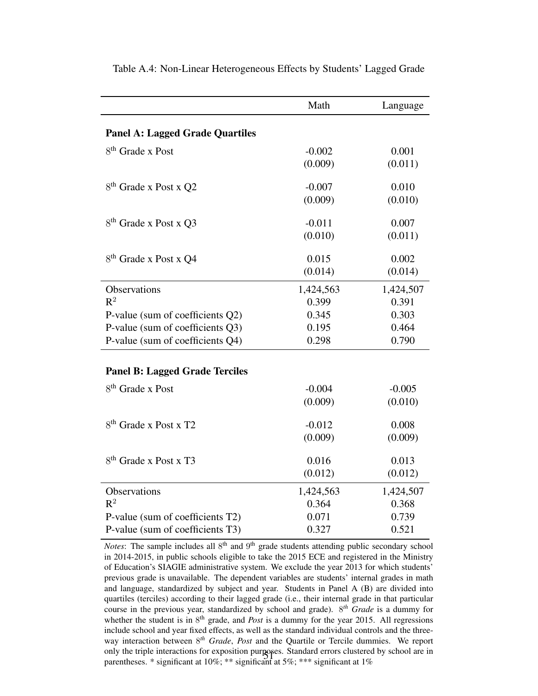|                                        | Math               | Language           |
|----------------------------------------|--------------------|--------------------|
| <b>Panel A: Lagged Grade Quartiles</b> |                    |                    |
| 8 <sup>th</sup> Grade x Post           | $-0.002$           | 0.001              |
|                                        | (0.009)            | (0.011)            |
|                                        |                    |                    |
| 8 <sup>th</sup> Grade x Post x Q2      | $-0.007$           | 0.010              |
|                                        | (0.009)            | (0.010)            |
| 8 <sup>th</sup> Grade x Post x Q3      | $-0.011$           | 0.007              |
|                                        | (0.010)            | (0.011)            |
| 8 <sup>th</sup> Grade x Post x Q4      | 0.015              | 0.002              |
|                                        | (0.014)            | (0.014)            |
| Observations                           |                    |                    |
| $R^2$                                  | 1,424,563<br>0.399 | 1,424,507<br>0.391 |
| P-value (sum of coefficients Q2)       | 0.345              | 0.303              |
| P-value (sum of coefficients Q3)       | 0.195              | 0.464              |
| P-value (sum of coefficients Q4)       | 0.298              | 0.790              |
|                                        |                    |                    |
| <b>Panel B: Lagged Grade Terciles</b>  |                    |                    |
| 8 <sup>th</sup> Grade x Post           | $-0.004$           | $-0.005$           |
|                                        | (0.009)            | (0.010)            |
| 8 <sup>th</sup> Grade x Post x T2      | $-0.012$           | 0.008              |
|                                        | (0.009)            | (0.009)            |
| 8 <sup>th</sup> Grade x Post x T3      | 0.016              | 0.013              |
|                                        | (0.012)            | (0.012)            |
|                                        |                    |                    |
| Observations<br>$R^2$                  | 1,424,563<br>0.364 | 1,424,507<br>0.368 |
| P-value (sum of coefficients T2)       | 0.071              | 0.739              |
| P-value (sum of coefficients T3)       | 0.327              | 0.521              |
|                                        |                    |                    |

<span id="page-53-0"></span>Table A.4: Non-Linear Heterogeneous Effects by Students' Lagged Grade

Notes: The sample includes all 8<sup>th</sup> and 9<sup>th</sup> grade students attending public secondary school in 2014-2015, in public schools eligible to take the 2015 ECE and registered in the Ministry of Education's SIAGIE administrative system. We exclude the year 2013 for which students' previous grade is unavailable. The dependent variables are students' internal grades in math and language, standardized by subject and year. Students in Panel A (B) are divided into quartiles (terciles) according to their lagged grade (i.e., their internal grade in that particular course in the previous year, standardized by school and grade). 8 *th Grade* is a dummy for whether the student is in  $8<sup>th</sup>$  grade, and *Post* is a dummy for the year 2015. All regressions include school and year fixed effects, as well as the standard individual controls and the threeway interaction between 8 *th Grade*, *Post* and the Quartile or Tercile dummies. We report only the triple interactions for exposition purposes. Standard errors clustered by school are in parentheses. \* significant at 10%; \*\* significant at 5%; \*\*\* significant at 1%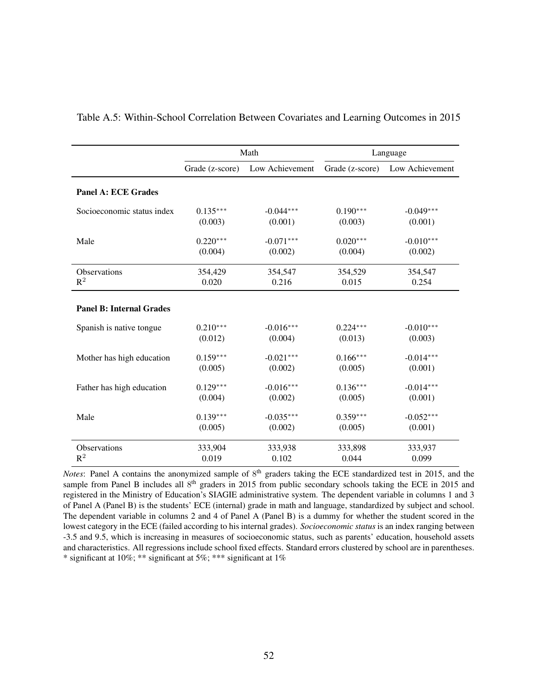|                                 | Math            |                 | Language        |                 |  |
|---------------------------------|-----------------|-----------------|-----------------|-----------------|--|
|                                 | Grade (z-score) | Low Achievement | Grade (z-score) | Low Achievement |  |
| <b>Panel A: ECE Grades</b>      |                 |                 |                 |                 |  |
| Socioeconomic status index      | $0.135***$      | $-0.044***$     | $0.190***$      | $-0.049***$     |  |
|                                 | (0.003)         | (0.001)         | (0.003)         | (0.001)         |  |
| Male                            | $0.220***$      | $-0.071***$     | $0.020***$      | $-0.010***$     |  |
|                                 | (0.004)         | (0.002)         | (0.004)         | (0.002)         |  |
| <b>Observations</b>             | 354,429         | 354,547         | 354,529         | 354,547         |  |
| $R^2$                           | 0.020           | 0.216           | 0.015           | 0.254           |  |
| <b>Panel B: Internal Grades</b> |                 |                 |                 |                 |  |
| Spanish is native tongue        | $0.210***$      | $-0.016***$     | $0.224***$      | $-0.010***$     |  |
|                                 | (0.012)         | (0.004)         | (0.013)         | (0.003)         |  |
| Mother has high education       | $0.159***$      | $-0.021***$     | $0.166***$      | $-0.014***$     |  |
|                                 | (0.005)         | (0.002)         | (0.005)         | (0.001)         |  |
| Father has high education       | $0.129***$      | $-0.016***$     | $0.136***$      | $-0.014***$     |  |
|                                 | (0.004)         | (0.002)         | (0.005)         | (0.001)         |  |
| Male                            | $0.139***$      | $-0.035***$     | $0.359***$      | $-0.052***$     |  |
|                                 | (0.005)         | (0.002)         | (0.005)         | (0.001)         |  |
| Observations                    | 333,904         | 333,938         | 333,898         | 333,937         |  |
| $R^2$                           | 0.019           | 0.102           | 0.044           | 0.099           |  |

#### <span id="page-54-0"></span>Table A.5: Within-School Correlation Between Covariates and Learning Outcomes in 2015

Notes: Panel A contains the anonymized sample of 8<sup>th</sup> graders taking the ECE standardized test in 2015, and the sample from Panel B includes all 8<sup>th</sup> graders in 2015 from public secondary schools taking the ECE in 2015 and registered in the Ministry of Education's SIAGIE administrative system. The dependent variable in columns 1 and 3 of Panel A (Panel B) is the students' ECE (internal) grade in math and language, standardized by subject and school. The dependent variable in columns 2 and 4 of Panel A (Panel B) is a dummy for whether the student scored in the lowest category in the ECE (failed according to his internal grades). *Socioeconomic status* is an index ranging between -3.5 and 9.5, which is increasing in measures of socioeconomic status, such as parents' education, household assets and characteristics. All regressions include school fixed effects. Standard errors clustered by school are in parentheses. \* significant at 10%; \*\* significant at 5%; \*\*\* significant at 1%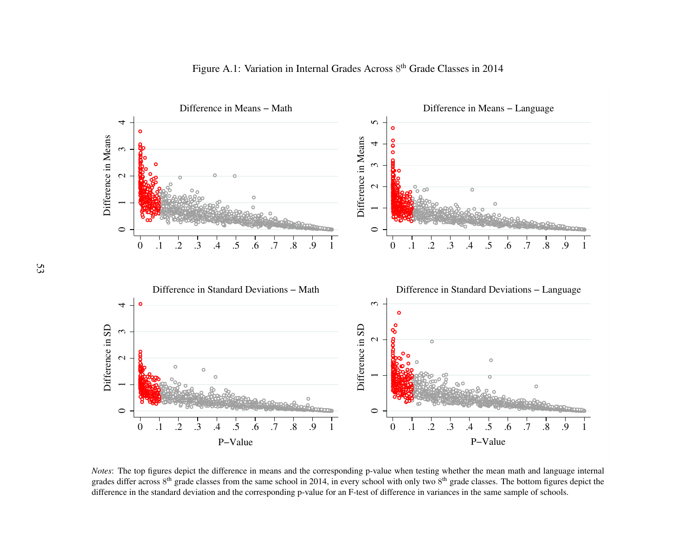

Figure A.1: Variation in Internal Grades Across  $8<sup>th</sup>$  Grade Classes in 2014

<span id="page-55-0"></span>*Notes*: The top figures depict the difference in means and the corresponding p-value when testing whether the mean math and language internal grades differ across  $8<sup>th</sup>$  grade classes from the same school in 2014, in every school with only two  $8<sup>th</sup>$  grade classes. The bottom figures depict the difference in the standard deviation and the corresponding p-value for an F-test of difference in variances in the same sample of schools.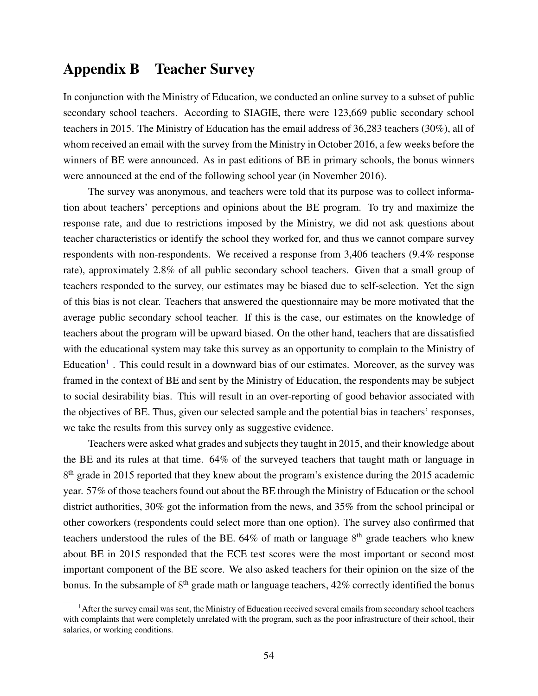## <span id="page-56-0"></span>Appendix B Teacher Survey

In conjunction with the Ministry of Education, we conducted an online survey to a subset of public secondary school teachers. According to SIAGIE, there were 123,669 public secondary school teachers in 2015. The Ministry of Education has the email address of 36,283 teachers (30%), all of whom received an email with the survey from the Ministry in October 2016, a few weeks before the winners of BE were announced. As in past editions of BE in primary schools, the bonus winners were announced at the end of the following school year (in November 2016).

The survey was anonymous, and teachers were told that its purpose was to collect information about teachers' perceptions and opinions about the BE program. To try and maximize the response rate, and due to restrictions imposed by the Ministry, we did not ask questions about teacher characteristics or identify the school they worked for, and thus we cannot compare survey respondents with non-respondents. We received a response from 3,406 teachers (9.4% response rate), approximately 2.8% of all public secondary school teachers. Given that a small group of teachers responded to the survey, our estimates may be biased due to self-selection. Yet the sign of this bias is not clear. Teachers that answered the questionnaire may be more motivated that the average public secondary school teacher. If this is the case, our estimates on the knowledge of teachers about the program will be upward biased. On the other hand, teachers that are dissatisfied with the educational system may take this survey as an opportunity to complain to the Ministry of Education<sup>[1](#page-56-1)</sup>. This could result in a downward bias of our estimates. Moreover, as the survey was framed in the context of BE and sent by the Ministry of Education, the respondents may be subject to social desirability bias. This will result in an over-reporting of good behavior associated with the objectives of BE. Thus, given our selected sample and the potential bias in teachers' responses, we take the results from this survey only as suggestive evidence.

Teachers were asked what grades and subjects they taught in 2015, and their knowledge about the BE and its rules at that time. 64% of the surveyed teachers that taught math or language in 8<sup>th</sup> grade in 2015 reported that they knew about the program's existence during the 2015 academic year. 57% of those teachers found out about the BE through the Ministry of Education or the school district authorities, 30% got the information from the news, and 35% from the school principal or other coworkers (respondents could select more than one option). The survey also confirmed that teachers understood the rules of the BE.  $64\%$  of math or language  $8<sup>th</sup>$  grade teachers who knew about BE in 2015 responded that the ECE test scores were the most important or second most important component of the BE score. We also asked teachers for their opinion on the size of the bonus. In the subsample of  $8<sup>th</sup>$  grade math or language teachers, 42% correctly identified the bonus

<span id="page-56-1"></span> $<sup>1</sup>$  After the survey email was sent, the Ministry of Education received several emails from secondary school teachers</sup> with complaints that were completely unrelated with the program, such as the poor infrastructure of their school, their salaries, or working conditions.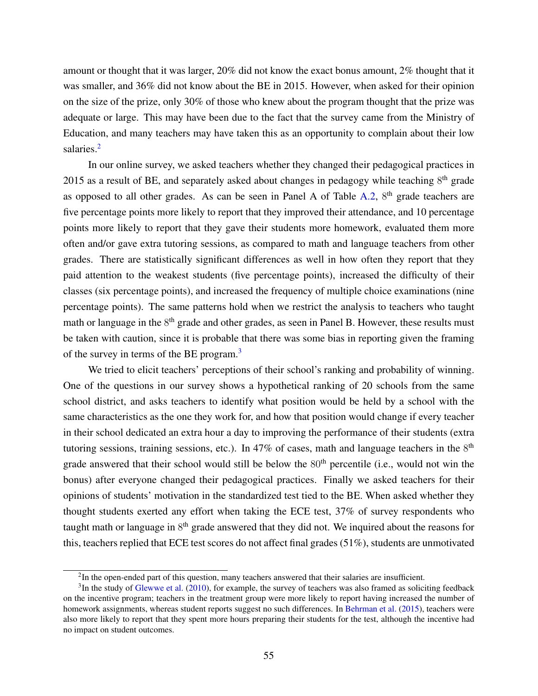amount or thought that it was larger, 20% did not know the exact bonus amount, 2% thought that it was smaller, and 36% did not know about the BE in 2015. However, when asked for their opinion on the size of the prize, only 30% of those who knew about the program thought that the prize was adequate or large. This may have been due to the fact that the survey came from the Ministry of Education, and many teachers may have taken this as an opportunity to complain about their low salaries.<sup>[2](#page-57-0)</sup>

In our online survey, we asked teachers whether they changed their pedagogical practices in 2015 as a result of BE, and separately asked about changes in pedagogy while teaching  $8<sup>th</sup>$  grade as opposed to all other grades. As can be seen in Panel A of Table [A.2,](#page-51-0) 8<sup>th</sup> grade teachers are five percentage points more likely to report that they improved their attendance, and 10 percentage points more likely to report that they gave their students more homework, evaluated them more often and/or gave extra tutoring sessions, as compared to math and language teachers from other grades. There are statistically significant differences as well in how often they report that they paid attention to the weakest students (five percentage points), increased the difficulty of their classes (six percentage points), and increased the frequency of multiple choice examinations (nine percentage points). The same patterns hold when we restrict the analysis to teachers who taught math or language in the 8<sup>th</sup> grade and other grades, as seen in Panel B. However, these results must be taken with caution, since it is probable that there was some bias in reporting given the framing of the survey in terms of the BE program.<sup>[3](#page-57-1)</sup>

We tried to elicit teachers' perceptions of their school's ranking and probability of winning. One of the questions in our survey shows a hypothetical ranking of 20 schools from the same school district, and asks teachers to identify what position would be held by a school with the same characteristics as the one they work for, and how that position would change if every teacher in their school dedicated an extra hour a day to improving the performance of their students (extra tutoring sessions, training sessions, etc.). In 47% of cases, math and language teachers in the  $8<sup>th</sup>$ grade answered that their school would still be below the  $80<sup>th</sup>$  percentile (i.e., would not win the bonus) after everyone changed their pedagogical practices. Finally we asked teachers for their opinions of students' motivation in the standardized test tied to the BE. When asked whether they thought students exerted any effort when taking the ECE test, 37% of survey respondents who taught math or language in 8<sup>th</sup> grade answered that they did not. We inquired about the reasons for this, teachers replied that ECE test scores do not affect final grades (51%), students are unmotivated

<span id="page-57-1"></span><span id="page-57-0"></span> $2$ In the open-ended part of this question, many teachers answered that their salaries are insufficient.

 $3$ In the study of [Glewwe et al.](#page-33-1) [\(2010\)](#page-33-1), for example, the survey of teachers was also framed as soliciting feedback on the incentive program; teachers in the treatment group were more likely to report having increased the number of homework assignments, whereas student reports suggest no such differences. In [Behrman et al.](#page-31-1) [\(2015\)](#page-31-1), teachers were also more likely to report that they spent more hours preparing their students for the test, although the incentive had no impact on student outcomes.